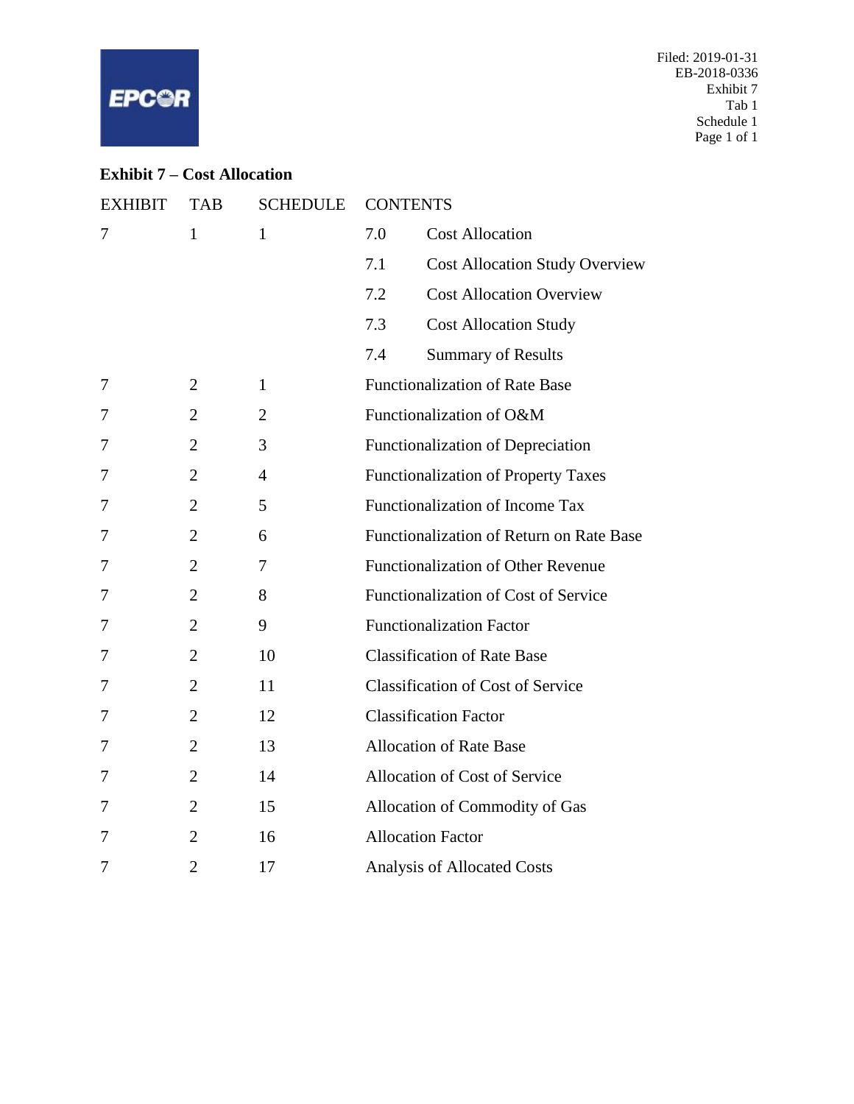

# **Exhibit 7 – Cost Allocation**

| <b>EXHIBIT</b> | <b>TAB</b>     | <b>SCHEDULE</b> | <b>CONTENTS</b>                              |
|----------------|----------------|-----------------|----------------------------------------------|
| 7              | $\mathbf{1}$   | $\mathbf{1}$    | 7.0<br><b>Cost Allocation</b>                |
|                |                |                 | <b>Cost Allocation Study Overview</b><br>7.1 |
|                |                |                 | <b>Cost Allocation Overview</b><br>7.2       |
|                |                |                 | 7.3<br><b>Cost Allocation Study</b>          |
|                |                |                 | 7.4<br><b>Summary of Results</b>             |
| 7              | $\overline{2}$ | $\mathbf{1}$    | <b>Functionalization of Rate Base</b>        |
| 7              | $\overline{2}$ | $\overline{2}$  | Functionalization of O&M                     |
| 7              | $\overline{2}$ | 3               | Functionalization of Depreciation            |
| 7              | $\overline{2}$ | 4               | <b>Functionalization of Property Taxes</b>   |
| 7              | $\overline{2}$ | 5               | Functionalization of Income Tax              |
| 7              | $\overline{2}$ | 6               | Functionalization of Return on Rate Base     |
| 7              | $\overline{2}$ | 7               | <b>Functionalization of Other Revenue</b>    |
| 7              | $\overline{2}$ | 8               | Functionalization of Cost of Service         |
| 7              | $\overline{2}$ | 9               | <b>Functionalization Factor</b>              |
| 7              | $\overline{2}$ | 10              | <b>Classification of Rate Base</b>           |
| 7              | $\overline{2}$ | 11              | <b>Classification of Cost of Service</b>     |
| 7              | $\overline{2}$ | 12              | <b>Classification Factor</b>                 |
| 7              | $\overline{2}$ | 13              | <b>Allocation of Rate Base</b>               |
| 7              | $\overline{2}$ | 14              | Allocation of Cost of Service                |
| 7              | $\overline{2}$ | 15              | Allocation of Commodity of Gas               |
| 7              | $\overline{2}$ | 16              | <b>Allocation Factor</b>                     |
| 7              | $\overline{2}$ | 17              | <b>Analysis of Allocated Costs</b>           |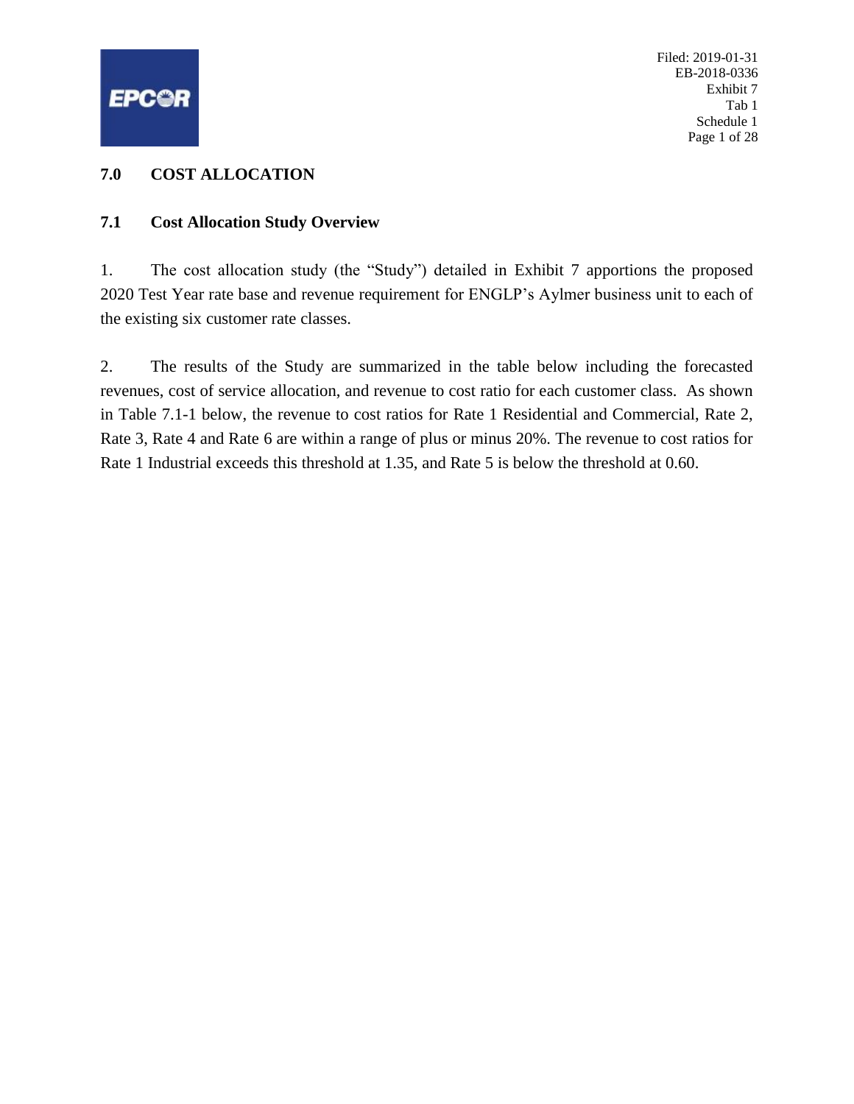<span id="page-1-0"></span>

Filed: 2019-01-31 EB-2018-0336 Exhibit 7 Tab 1 Schedule 1 Page 1 of 28

#### **7.0 COST ALLOCATION**

#### **7.1 Cost Allocation Study Overview**

1. The cost allocation study (the "Study") detailed in Exhibit 7 apportions the proposed 2020 Test Year rate base and revenue requirement for ENGLP's Aylmer business unit to each of the existing six customer rate classes.

2. The results of the Study are summarized in the table below including the forecasted revenues, cost of service allocation, and revenue to cost ratio for each customer class. As shown in Table 7.1-1 below, the revenue to cost ratios for Rate 1 Residential and Commercial, Rate 2, Rate 3, Rate 4 and Rate 6 are within a range of plus or minus 20%. The revenue to cost ratios for Rate 1 Industrial exceeds this threshold at 1.35, and Rate 5 is below the threshold at 0.60.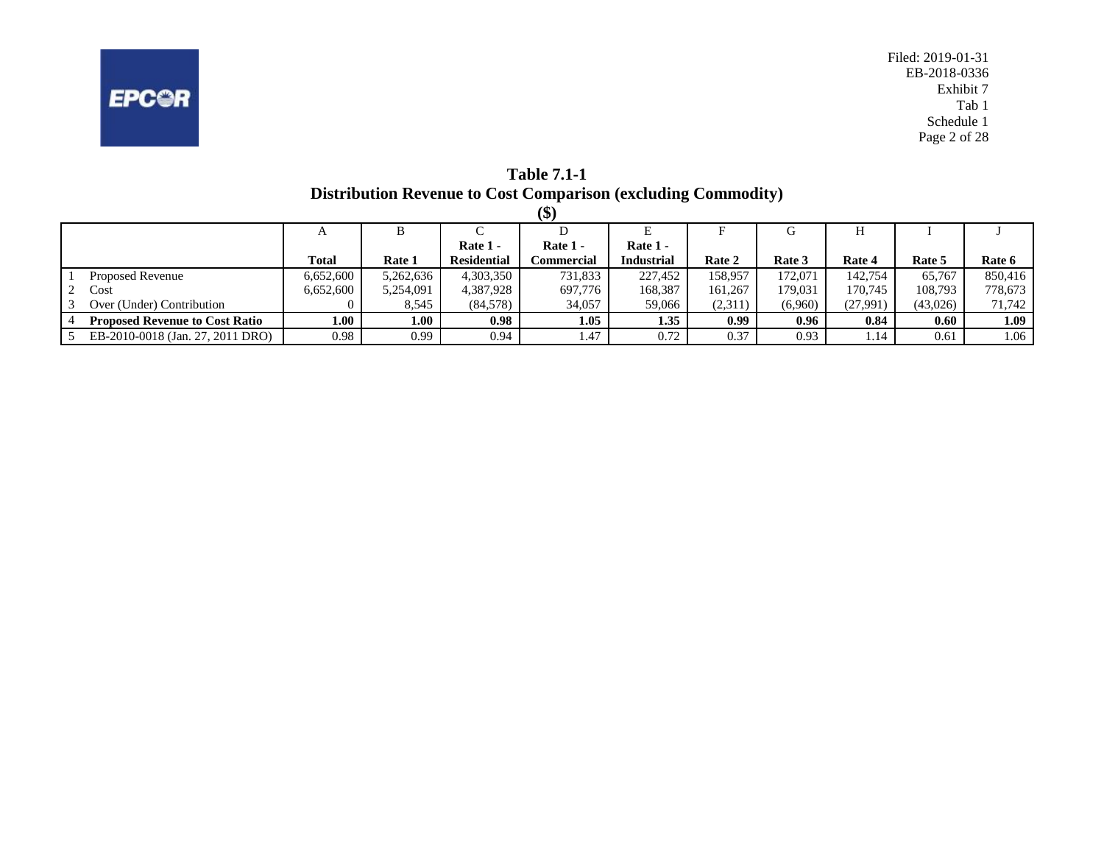

**Table 7.1-1 Distribution Revenue to Cost Comparison (excluding Commodity)**

|                                       |              |           |                    | \$)        |                   |         |         |          |          |         |
|---------------------------------------|--------------|-----------|--------------------|------------|-------------------|---------|---------|----------|----------|---------|
|                                       | A            | В         |                    |            |                   |         | G       |          |          |         |
|                                       |              |           | Rate 1 -           | Rate 1 -   | Rate 1 -          |         |         |          |          |         |
|                                       | <b>Total</b> | Rate 1    | <b>Residential</b> | Commercial | <b>Industrial</b> | Rate 2  | Rate 3  | Rate 4   | Rate 5   | Rate 6  |
| <b>Proposed Revenue</b>               | 6,652,600    | 5,262,636 | 4,303,350          | 731,833    | 227,452           | 158.957 | 172.071 | 142.754  | 65.767   | 850,416 |
| Cost                                  | 6,652,600    | 5,254,091 | 4,387,928          | 697,776    | 168,387           | 161.267 | 179.031 | 170.745  | 108,793  | 778,673 |
| Over (Under) Contribution             |              | 8,545     | (84,578)           | 34,057     | 59,066            | (2,311) | (6,960) | (27,991) | (43,026) | 71,742  |
| <b>Proposed Revenue to Cost Ratio</b> | $1.00\,$     | 1.00      | 0.98               | 1.05       | 1.35              | 0.99    | 0.96    | 0.84     | 0.60     | 1.09    |
| EB-2010-0018 (Jan. 27, 2011 DRO)      | 0.98         | 0.99      | 0.94               | 1.47       | 0.72              | 0.37    | 0.93    | .14      | 0.61     | 1.06    |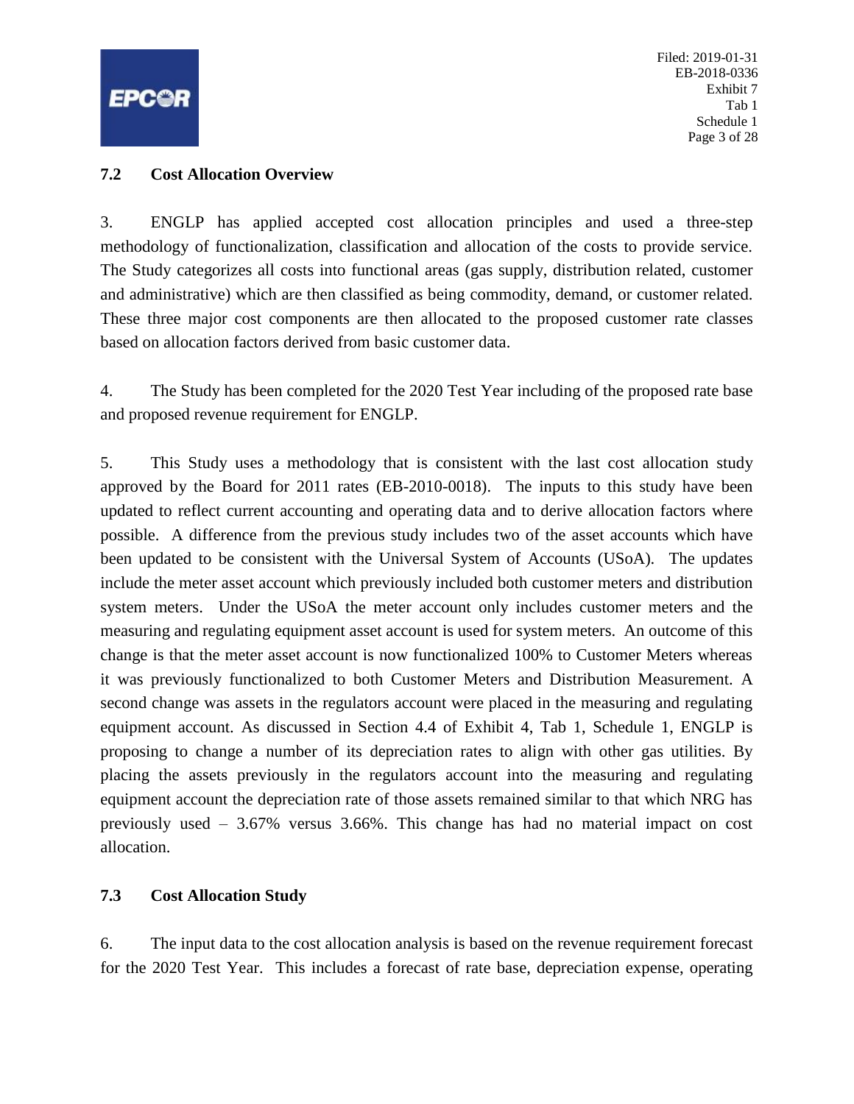<span id="page-3-0"></span>

Filed: 2019-01-31 EB-2018-0336 Exhibit 7 Tab 1 Schedule 1 Page 3 of 28

#### **7.2 Cost Allocation Overview**

3. ENGLP has applied accepted cost allocation principles and used a three-step methodology of functionalization, classification and allocation of the costs to provide service. The Study categorizes all costs into functional areas (gas supply, distribution related, customer and administrative) which are then classified as being commodity, demand, or customer related. These three major cost components are then allocated to the proposed customer rate classes based on allocation factors derived from basic customer data.

4. The Study has been completed for the 2020 Test Year including of the proposed rate base and proposed revenue requirement for ENGLP.

5. This Study uses a methodology that is consistent with the last cost allocation study approved by the Board for 2011 rates (EB-2010-0018). The inputs to this study have been updated to reflect current accounting and operating data and to derive allocation factors where possible. A difference from the previous study includes two of the asset accounts which have been updated to be consistent with the Universal System of Accounts (USoA). The updates include the meter asset account which previously included both customer meters and distribution system meters. Under the USoA the meter account only includes customer meters and the measuring and regulating equipment asset account is used for system meters. An outcome of this change is that the meter asset account is now functionalized 100% to Customer Meters whereas it was previously functionalized to both Customer Meters and Distribution Measurement. A second change was assets in the regulators account were placed in the measuring and regulating equipment account. As discussed in Section 4.4 of Exhibit 4, Tab 1, Schedule 1, ENGLP is proposing to change a number of its depreciation rates to align with other gas utilities. By placing the assets previously in the regulators account into the measuring and regulating equipment account the depreciation rate of those assets remained similar to that which NRG has previously used – 3.67% versus 3.66%. This change has had no material impact on cost allocation.

## **7.3 Cost Allocation Study**

6. The input data to the cost allocation analysis is based on the revenue requirement forecast for the 2020 Test Year. This includes a forecast of rate base, depreciation expense, operating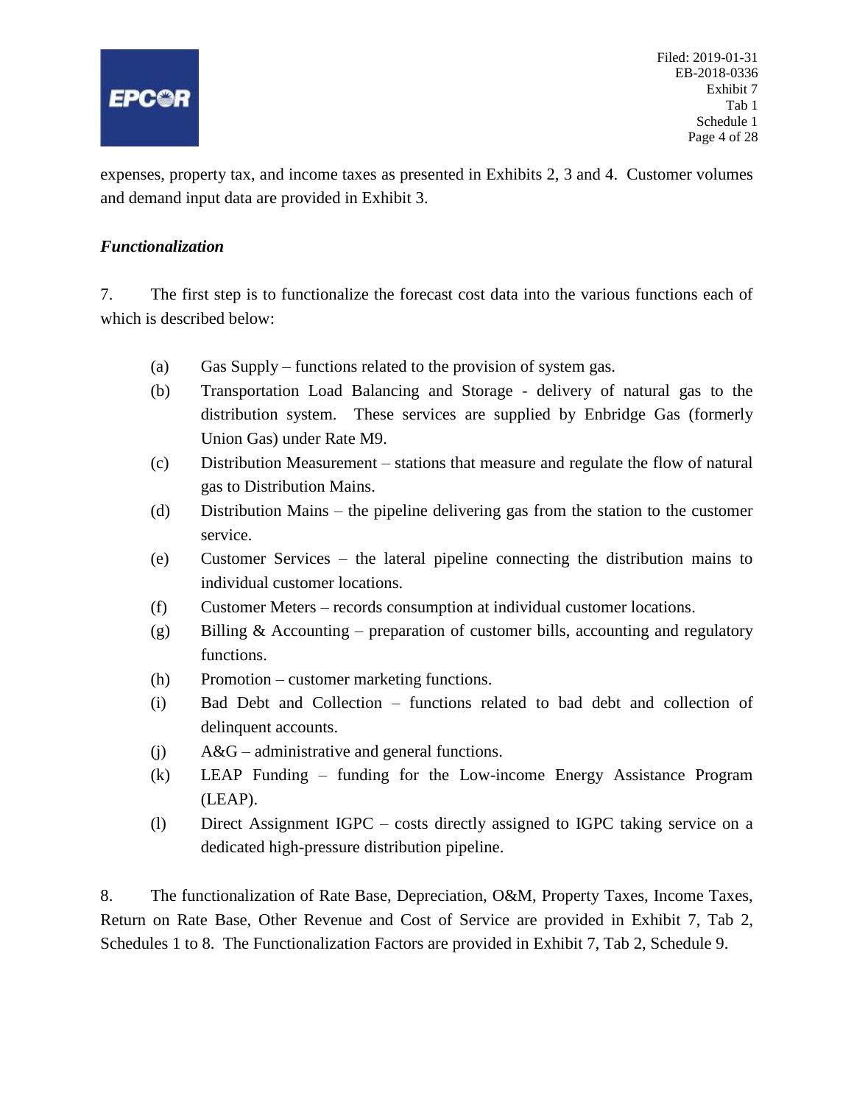<span id="page-4-0"></span>

expenses, property tax, and income taxes as presented in Exhibits 2, 3 and 4. Customer volumes and demand input data are provided in Exhibit 3.

#### *Functionalization*

7. The first step is to functionalize the forecast cost data into the various functions each of which is described below:

- (a) Gas Supply functions related to the provision of system gas.
- (b) Transportation Load Balancing and Storage delivery of natural gas to the distribution system. These services are supplied by Enbridge Gas (formerly Union Gas) under Rate M9.
- (c) Distribution Measurement stations that measure and regulate the flow of natural gas to Distribution Mains.
- (d) Distribution Mains the pipeline delivering gas from the station to the customer service.
- (e) Customer Services the lateral pipeline connecting the distribution mains to individual customer locations.
- (f) Customer Meters records consumption at individual customer locations.
- (g) Billing & Accounting preparation of customer bills, accounting and regulatory functions.
- (h) Promotion customer marketing functions.
- (i) Bad Debt and Collection functions related to bad debt and collection of delinquent accounts.
- (j) A&G administrative and general functions.
- (k) LEAP Funding funding for the Low-income Energy Assistance Program (LEAP).
- (l) Direct Assignment IGPC costs directly assigned to IGPC taking service on a dedicated high-pressure distribution pipeline.

8. The functionalization of Rate Base, Depreciation, O&M, Property Taxes, Income Taxes, Return on Rate Base, Other Revenue and Cost of Service are provided in Exhibit 7, Tab 2, Schedules 1 to 8. The Functionalization Factors are provided in Exhibit 7, Tab 2, Schedule 9.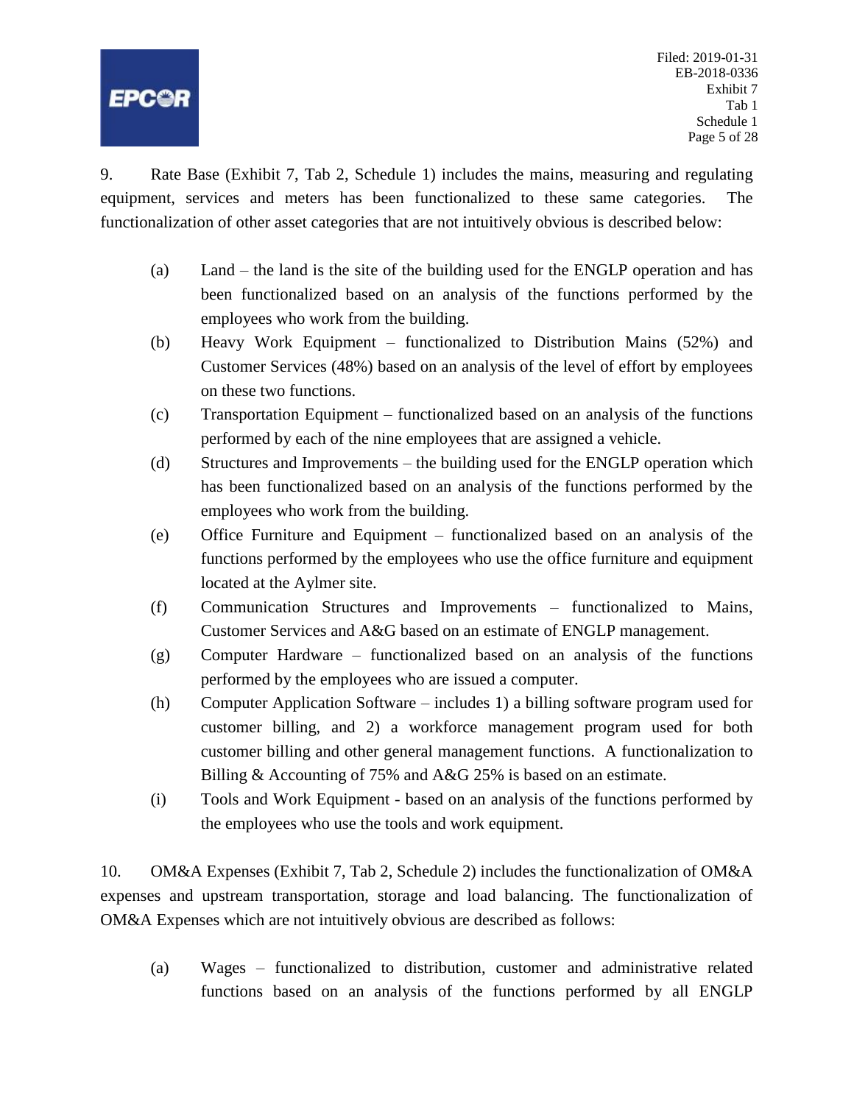

9. Rate Base (Exhibit 7, Tab 2, Schedule 1) includes the mains, measuring and regulating equipment, services and meters has been functionalized to these same categories. The functionalization of other asset categories that are not intuitively obvious is described below:

- (a) Land the land is the site of the building used for the ENGLP operation and has been functionalized based on an analysis of the functions performed by the employees who work from the building.
- (b) Heavy Work Equipment functionalized to Distribution Mains (52%) and Customer Services (48%) based on an analysis of the level of effort by employees on these two functions.
- (c) Transportation Equipment functionalized based on an analysis of the functions performed by each of the nine employees that are assigned a vehicle.
- (d) Structures and Improvements the building used for the ENGLP operation which has been functionalized based on an analysis of the functions performed by the employees who work from the building.
- (e) Office Furniture and Equipment functionalized based on an analysis of the functions performed by the employees who use the office furniture and equipment located at the Aylmer site.
- (f) Communication Structures and Improvements functionalized to Mains, Customer Services and A&G based on an estimate of ENGLP management.
- (g) Computer Hardware functionalized based on an analysis of the functions performed by the employees who are issued a computer.
- (h) Computer Application Software includes 1) a billing software program used for customer billing, and 2) a workforce management program used for both customer billing and other general management functions. A functionalization to Billing & Accounting of 75% and A&G 25% is based on an estimate.
- (i) Tools and Work Equipment based on an analysis of the functions performed by the employees who use the tools and work equipment.

10. OM&A Expenses (Exhibit 7, Tab 2, Schedule 2) includes the functionalization of OM&A expenses and upstream transportation, storage and load balancing. The functionalization of OM&A Expenses which are not intuitively obvious are described as follows:

(a) Wages – functionalized to distribution, customer and administrative related functions based on an analysis of the functions performed by all ENGLP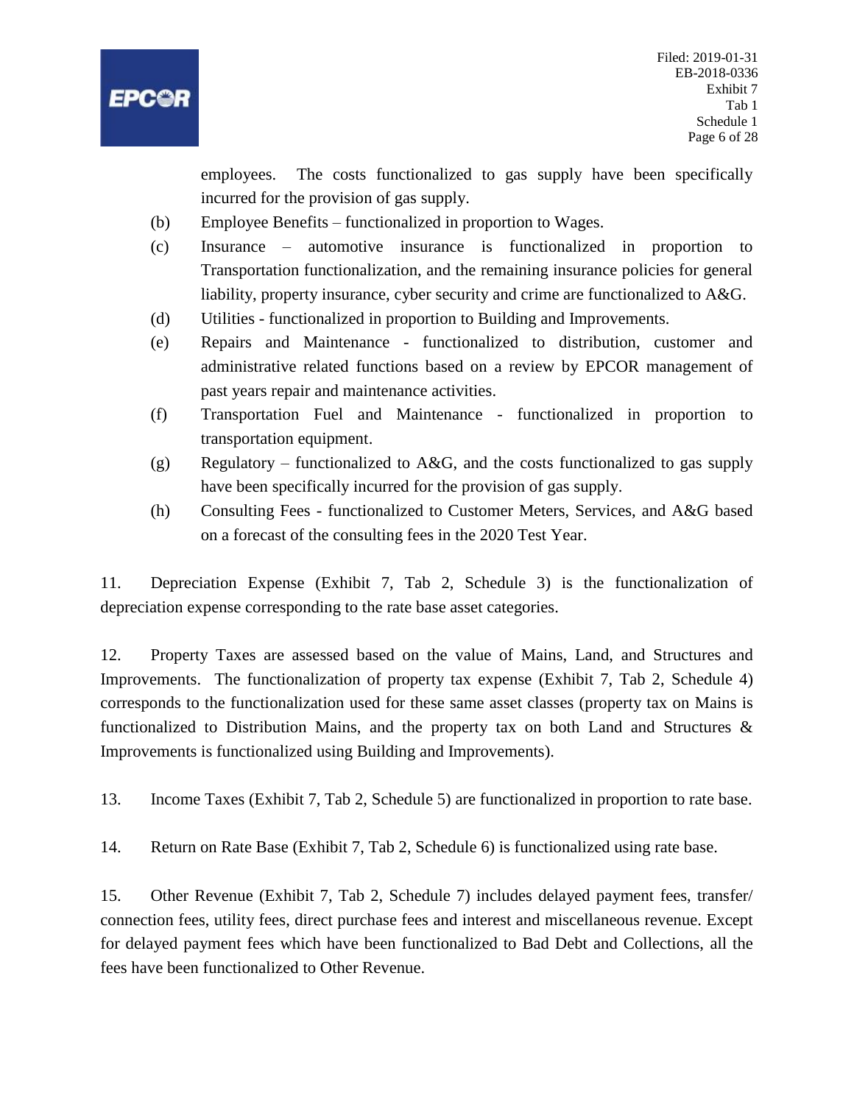

employees. The costs functionalized to gas supply have been specifically incurred for the provision of gas supply.

- (b) Employee Benefits functionalized in proportion to Wages.
- (c) Insurance automotive insurance is functionalized in proportion to Transportation functionalization, and the remaining insurance policies for general liability, property insurance, cyber security and crime are functionalized to A&G.
- (d) Utilities functionalized in proportion to Building and Improvements.
- (e) Repairs and Maintenance functionalized to distribution, customer and administrative related functions based on a review by EPCOR management of past years repair and maintenance activities.
- (f) Transportation Fuel and Maintenance functionalized in proportion to transportation equipment.
- (g) Regulatory functionalized to A&G, and the costs functionalized to gas supply have been specifically incurred for the provision of gas supply.
- (h) Consulting Fees functionalized to Customer Meters, Services, and A&G based on a forecast of the consulting fees in the 2020 Test Year.

11. Depreciation Expense (Exhibit 7, Tab 2, Schedule 3) is the functionalization of depreciation expense corresponding to the rate base asset categories.

12. Property Taxes are assessed based on the value of Mains, Land, and Structures and Improvements. The functionalization of property tax expense (Exhibit 7, Tab 2, Schedule 4) corresponds to the functionalization used for these same asset classes (property tax on Mains is functionalized to Distribution Mains, and the property tax on both Land and Structures & Improvements is functionalized using Building and Improvements).

13. Income Taxes (Exhibit 7, Tab 2, Schedule 5) are functionalized in proportion to rate base.

14. Return on Rate Base (Exhibit 7, Tab 2, Schedule 6) is functionalized using rate base.

15. Other Revenue (Exhibit 7, Tab 2, Schedule 7) includes delayed payment fees, transfer/ connection fees, utility fees, direct purchase fees and interest and miscellaneous revenue. Except for delayed payment fees which have been functionalized to Bad Debt and Collections, all the fees have been functionalized to Other Revenue.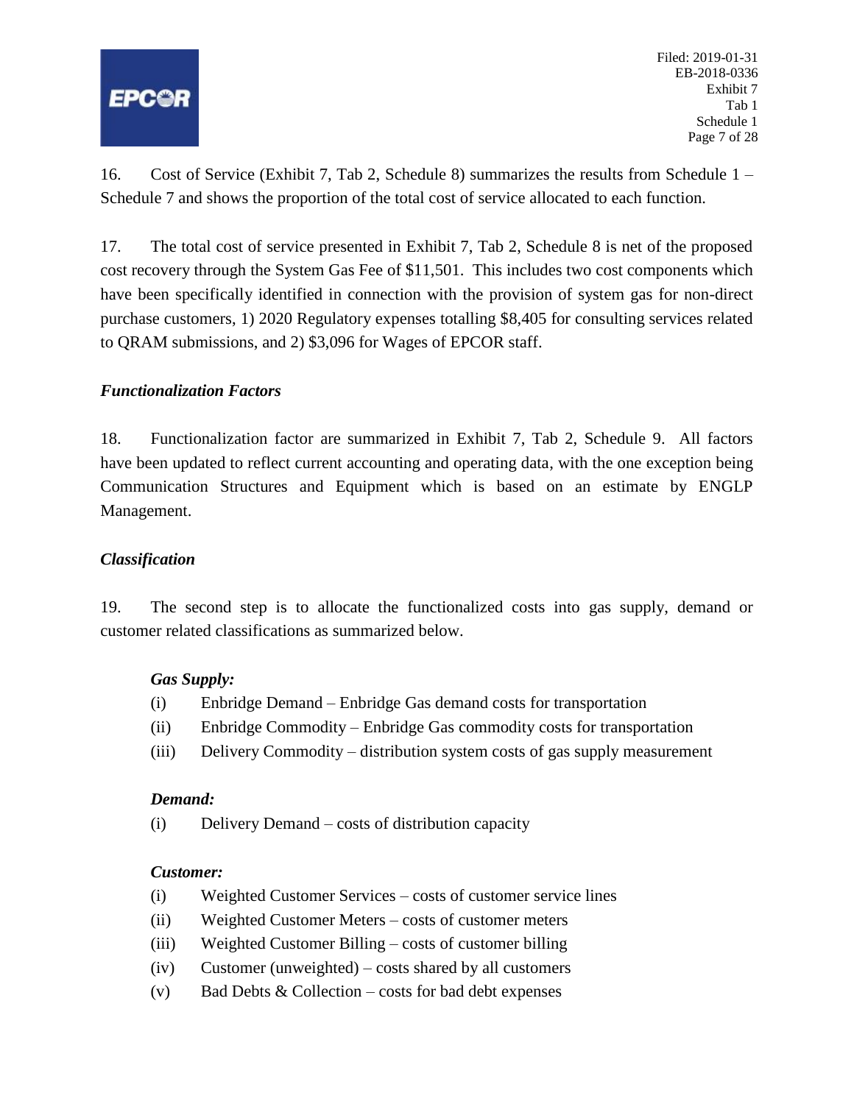

Filed: 2019-01-31 EB-2018-0336 Exhibit 7 Tab 1 Schedule 1 Page 7 of 28

16. Cost of Service (Exhibit 7, Tab 2, Schedule 8) summarizes the results from Schedule 1 – Schedule 7 and shows the proportion of the total cost of service allocated to each function.

17. The total cost of service presented in Exhibit 7, Tab 2, Schedule 8 is net of the proposed cost recovery through the System Gas Fee of \$11,501. This includes two cost components which have been specifically identified in connection with the provision of system gas for non-direct purchase customers, 1) 2020 Regulatory expenses totalling \$8,405 for consulting services related to QRAM submissions, and 2) \$3,096 for Wages of EPCOR staff.

## *Functionalization Factors*

18. Functionalization factor are summarized in Exhibit 7, Tab 2, Schedule 9. All factors have been updated to reflect current accounting and operating data, with the one exception being Communication Structures and Equipment which is based on an estimate by ENGLP Management.

#### *Classification*

19. The second step is to allocate the functionalized costs into gas supply, demand or customer related classifications as summarized below.

## *Gas Supply:*

- (i) Enbridge Demand Enbridge Gas demand costs for transportation
- (ii) Enbridge Commodity Enbridge Gas commodity costs for transportation
- (iii) Delivery Commodity distribution system costs of gas supply measurement

#### *Demand:*

(i) Delivery Demand – costs of distribution capacity

#### *Customer:*

- (i) Weighted Customer Services costs of customer service lines
- (ii) Weighted Customer Meters costs of customer meters
- (iii) Weighted Customer Billing costs of customer billing
- (iv) Customer (unweighted) costs shared by all customers
- (v) Bad Debts  $& Collection costs$  for bad debt expenses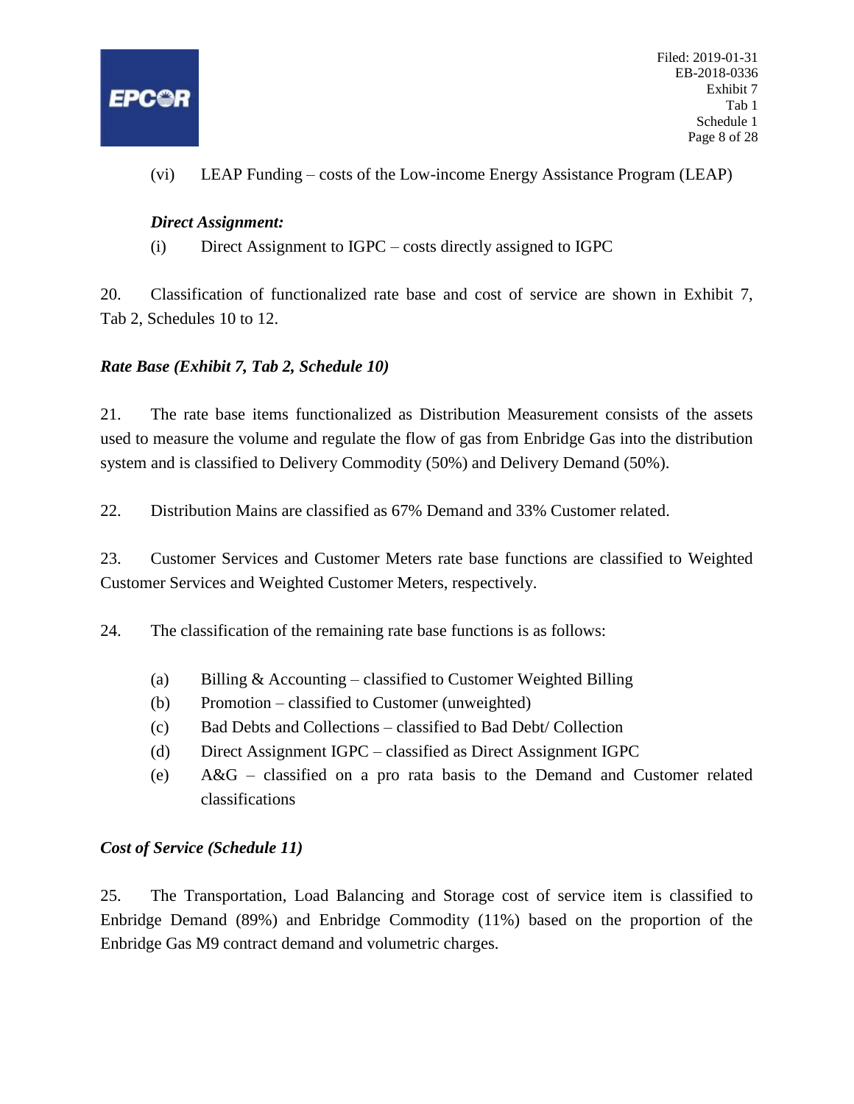

(vi) LEAP Funding – costs of the Low-income Energy Assistance Program (LEAP)

## *Direct Assignment:*

(i) Direct Assignment to IGPC – costs directly assigned to IGPC

20. Classification of functionalized rate base and cost of service are shown in Exhibit 7, Tab 2, Schedules 10 to 12.

## *Rate Base (Exhibit 7, Tab 2, Schedule 10)*

21. The rate base items functionalized as Distribution Measurement consists of the assets used to measure the volume and regulate the flow of gas from Enbridge Gas into the distribution system and is classified to Delivery Commodity (50%) and Delivery Demand (50%).

22. Distribution Mains are classified as 67% Demand and 33% Customer related.

23. Customer Services and Customer Meters rate base functions are classified to Weighted Customer Services and Weighted Customer Meters, respectively.

24. The classification of the remaining rate base functions is as follows:

- (a) Billing  $&$  Accounting classified to Customer Weighted Billing
- (b) Promotion classified to Customer (unweighted)
- (c) Bad Debts and Collections classified to Bad Debt/ Collection
- (d) Direct Assignment IGPC classified as Direct Assignment IGPC
- (e) A&G classified on a pro rata basis to the Demand and Customer related classifications

## *Cost of Service (Schedule 11)*

25. The Transportation, Load Balancing and Storage cost of service item is classified to Enbridge Demand (89%) and Enbridge Commodity (11%) based on the proportion of the Enbridge Gas M9 contract demand and volumetric charges.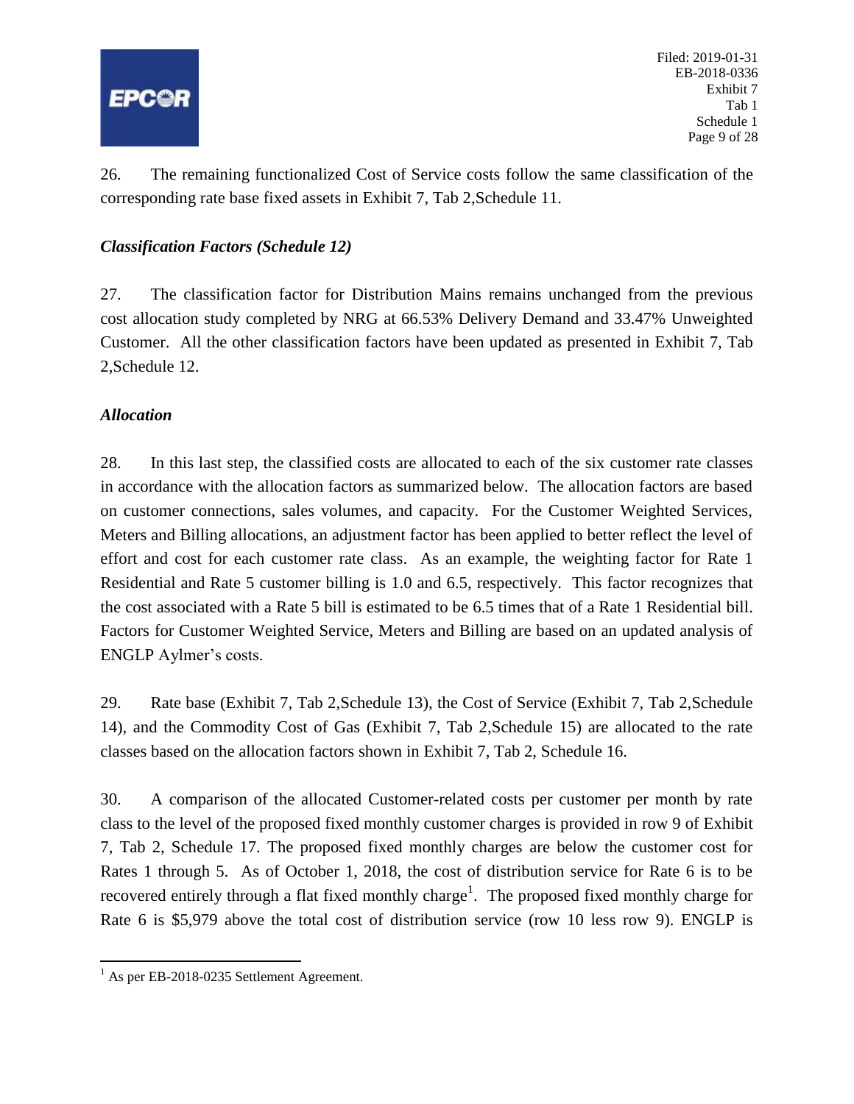

Filed: 2019-01-31 EB-2018-0336 Exhibit 7 Tab 1 Schedule 1 Page 9 of 28

26. The remaining functionalized Cost of Service costs follow the same classification of the corresponding rate base fixed assets in Exhibit 7, Tab 2,Schedule 11.

## *Classification Factors (Schedule 12)*

27. The classification factor for Distribution Mains remains unchanged from the previous cost allocation study completed by NRG at 66.53% Delivery Demand and 33.47% Unweighted Customer. All the other classification factors have been updated as presented in Exhibit 7, Tab 2,Schedule 12.

# *Allocation*

28. In this last step, the classified costs are allocated to each of the six customer rate classes in accordance with the allocation factors as summarized below. The allocation factors are based on customer connections, sales volumes, and capacity. For the Customer Weighted Services, Meters and Billing allocations, an adjustment factor has been applied to better reflect the level of effort and cost for each customer rate class. As an example, the weighting factor for Rate 1 Residential and Rate 5 customer billing is 1.0 and 6.5, respectively. This factor recognizes that the cost associated with a Rate 5 bill is estimated to be 6.5 times that of a Rate 1 Residential bill. Factors for Customer Weighted Service, Meters and Billing are based on an updated analysis of ENGLP Aylmer's costs.

29. Rate base (Exhibit 7, Tab 2,Schedule 13), the Cost of Service (Exhibit 7, Tab 2,Schedule 14), and the Commodity Cost of Gas (Exhibit 7, Tab 2,Schedule 15) are allocated to the rate classes based on the allocation factors shown in Exhibit 7, Tab 2, Schedule 16.

30. A comparison of the allocated Customer-related costs per customer per month by rate class to the level of the proposed fixed monthly customer charges is provided in row 9 of Exhibit 7, Tab 2, Schedule 17. The proposed fixed monthly charges are below the customer cost for Rates 1 through 5. As of October 1, 2018, the cost of distribution service for Rate 6 is to be recovered entirely through a flat fixed monthly charge<sup>1</sup>. The proposed fixed monthly charge for Rate 6 is \$5,979 above the total cost of distribution service (row 10 less row 9). ENGLP is

 $\overline{\phantom{a}}$ <sup>1</sup> As per EB-2018-0235 Settlement Agreement.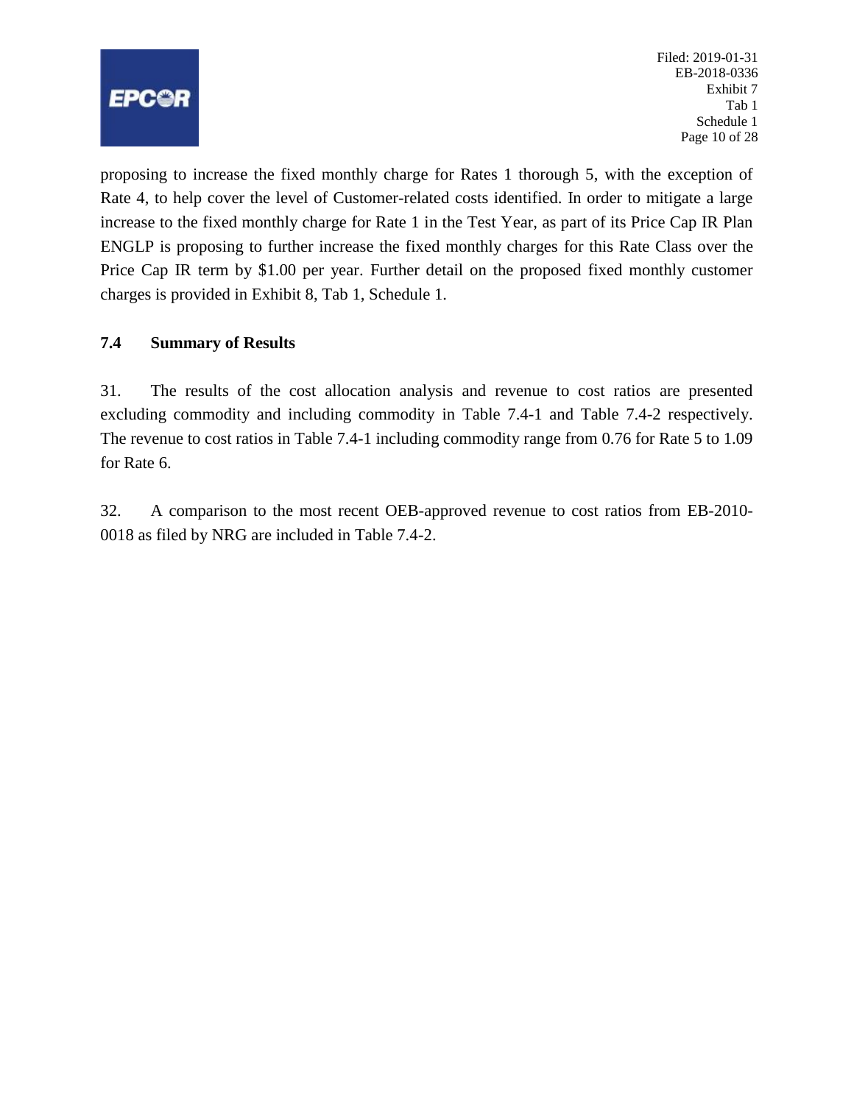<span id="page-10-0"></span>

Filed: 2019-01-31 EB-2018-0336 Exhibit 7 Tab 1 Schedule 1 Page 10 of 28

proposing to increase the fixed monthly charge for Rates 1 thorough 5, with the exception of Rate 4, to help cover the level of Customer-related costs identified. In order to mitigate a large increase to the fixed monthly charge for Rate 1 in the Test Year, as part of its Price Cap IR Plan ENGLP is proposing to further increase the fixed monthly charges for this Rate Class over the Price Cap IR term by \$1.00 per year. Further detail on the proposed fixed monthly customer charges is provided in Exhibit 8, Tab 1, Schedule 1.

## **7.4 Summary of Results**

31. The results of the cost allocation analysis and revenue to cost ratios are presented excluding commodity and including commodity in Table 7.4-1 and Table 7.4-2 respectively. The revenue to cost ratios in Table 7.4-1 including commodity range from 0.76 for Rate 5 to 1.09 for Rate 6.

32. A comparison to the most recent OEB-approved revenue to cost ratios from EB-2010- 0018 as filed by NRG are included in Table 7.4-2.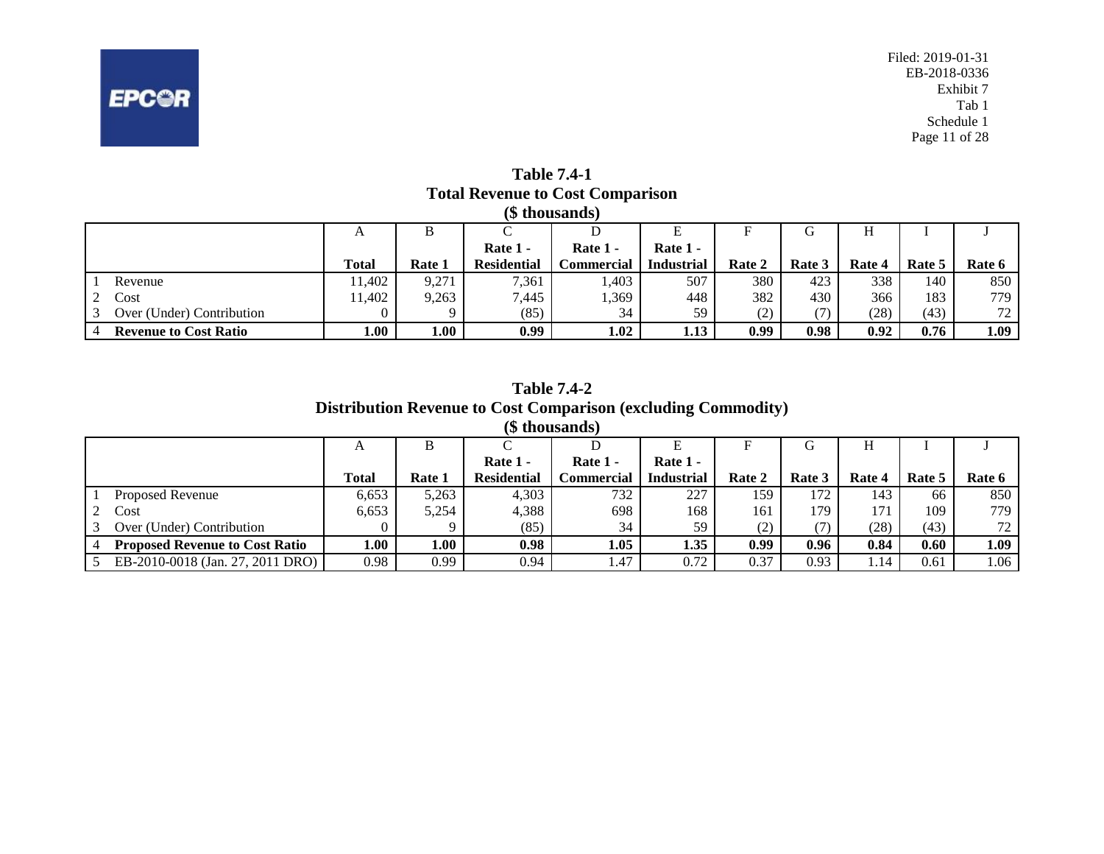

**Table 7.4-1 Total Revenue to Cost Comparison**

|                              |              |        |                    | (\$ thousands)     |                   |        |        |        |        |                  |
|------------------------------|--------------|--------|--------------------|--------------------|-------------------|--------|--------|--------|--------|------------------|
|                              | A            | В      |                    |                    |                   |        | G      |        |        |                  |
|                              |              |        | Rate 1 -           | Rate 1 -           | Rate $1 -$        |        |        |        |        |                  |
|                              | <b>Total</b> | Rate 1 | <b>Residential</b> | C <b>ommercial</b> | <b>Industrial</b> | Rate 2 | Rate 3 | Rate 4 | Rate 5 | Rate 6           |
| Revenue                      | 1.402        | 9,271  | 7,361              | .403               | 507               | 380    | 423    | 338    | 140    | 850              |
| Cost                         | 1.402        | 9,263  | 7,445              | .369               | 448               | 382    | 430    | 366    | 183    | 779 <sub>1</sub> |
| Over (Under) Contribution    |              |        | (85)               | 34                 | 59                | (2)    |        | (28)   | (43)   | 72               |
| <b>Revenue to Cost Ratio</b> | 1.00         | 0.01   | 0.99               | 1.02               | 1.13              | 0.99   | 0.98   | 0.92   | 0.76   | 1.09             |

|                                       |              |        |                    | <b>Distribution Revenue to Cost Comparison (excluding Commodity)</b> |                   |        |        |        |        |        |
|---------------------------------------|--------------|--------|--------------------|----------------------------------------------------------------------|-------------------|--------|--------|--------|--------|--------|
|                                       |              |        |                    | (\$ thousands)                                                       |                   |        |        |        |        |        |
|                                       | A            | В      |                    |                                                                      |                   |        | G      | Н      |        |        |
|                                       |              |        | Rate 1 -           | Rate 1 -                                                             | Rate 1 -          |        |        |        |        |        |
|                                       | <b>Total</b> | Rate 1 | <b>Residential</b> | <b>Commercial</b>                                                    | <b>Industrial</b> | Rate 2 | Rate 3 | Rate 4 | Rate 5 | Rate 6 |
| Proposed Revenue                      | 6,653        | 5,263  | 4,303              | 732                                                                  | 227               | 159    | 172    | 143    | 66     | 850    |
| Cost                                  | 6,653        | 5,254  | 4.388              | 698                                                                  | 168               | 161    | 179    | 171    | 109    | 779.   |
| Over (Under) Contribution             |              |        | (85)               | 34                                                                   | 59                | (2)    |        | (28)   | (43)   | 72     |
| <b>Proposed Revenue to Cost Ratio</b> | 1.00         | 1.00   | 0.98               | 1.05                                                                 | 1.35              | 0.99   | 0.96   | 0.84   | 0.60   | 1.09   |
| EB-2010-0018 (Jan. 27, 2011 DRO)      | 0.98         | 0.99   | 0.94               | 1.47                                                                 | 0.72              | 0.37   | 0.93   | l.14   | 0.61   | 1.06   |

**Table 7.4-2**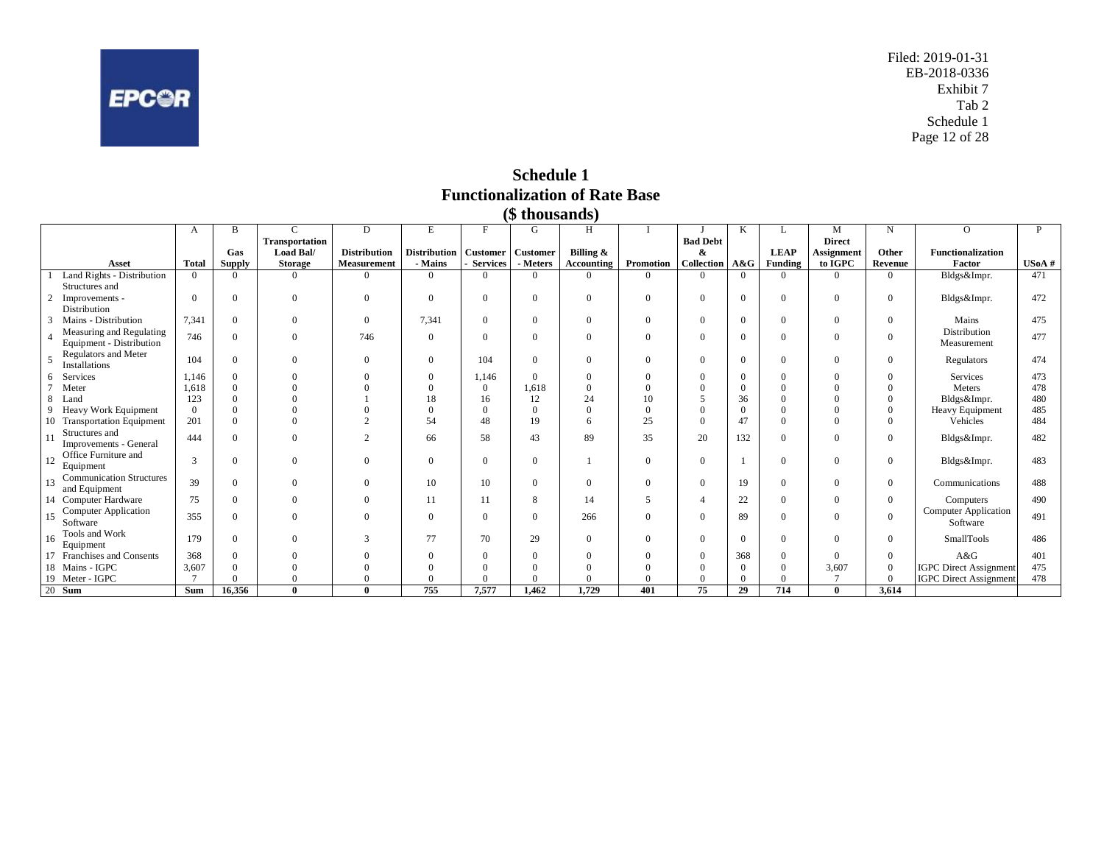<span id="page-12-0"></span>

Filed: 2019-01-31 EB-2018-0336 Exhibit 7 Tab 2 Schedule 1 Page 12 of 28

**Schedule 1 Functionalization of Rate Base (\$ thousands)**

|                                                                                  |                                 |                |                |                |                     |                     |                  | <i>v ulvusalius</i> |            |                  |                  |          |                |                         |                |                               |       |
|----------------------------------------------------------------------------------|---------------------------------|----------------|----------------|----------------|---------------------|---------------------|------------------|---------------------|------------|------------------|------------------|----------|----------------|-------------------------|----------------|-------------------------------|-------|
| $\mathsf{C}$<br>G.<br>H<br>D<br>E<br>F<br>M<br>N<br>B<br>$\Omega$<br>K<br>А<br>L |                                 |                |                |                |                     |                     |                  |                     |            |                  |                  |          | P              |                         |                |                               |       |
|                                                                                  |                                 |                |                | Transportation |                     |                     |                  |                     |            |                  | <b>Bad Debt</b>  |          |                | <b>Direct</b>           |                |                               |       |
|                                                                                  |                                 |                | Gas            | Load Bal/      | <b>Distribution</b> | <b>Distribution</b> | <b>Customer</b>  | <b>Customer</b>     | Billing &  |                  | &                |          | <b>LEAP</b>    | Assignment              | Other          | <b>Functionalization</b>      |       |
|                                                                                  | Asset                           | <b>Total</b>   | <b>Supply</b>  | <b>Storage</b> | Measurement         | - Mains             | <b>Services</b>  | - Meters            | Accounting | Promotion        | Collection       | A&G      | <b>Funding</b> | to IGPC                 | Revenue        | Factor                        | USoA# |
|                                                                                  | Land Rights - Distribution      | $\theta$       | $\Omega$       | $\Omega$       | $\Omega$            | $\overline{0}$      | $\Omega$         | $\Omega$            | $\Omega$   | $\Omega$         | $\Omega$         | $\Omega$ | $\Omega$       | $\Omega$                | $\Omega$       | Bldgs&Impr.                   | 471   |
|                                                                                  | Structures and                  |                |                |                |                     |                     |                  |                     |            |                  |                  |          |                |                         |                |                               |       |
|                                                                                  | Improvements -                  | $\overline{0}$ | $\mathbf{0}$   | $\mathbf{0}$   | $\Omega$            | $\mathbf{0}$        | $\boldsymbol{0}$ | $\mathbf{0}$        | $\Omega$   | $\overline{0}$   | $\overline{0}$   | $\theta$ | $\Omega$       | $\overline{0}$          | $\overline{0}$ | Bldgs&Impr.                   | 472   |
|                                                                                  | Distribution                    |                |                |                |                     |                     |                  |                     |            |                  |                  |          |                |                         |                |                               |       |
|                                                                                  | Mains - Distribution            | 7.341          | $\mathbf{0}$   | $\overline{0}$ | $\Omega$            | 7,341               | $\boldsymbol{0}$ | $\mathbf{0}$        | $\Omega$   | $\overline{0}$   | $\overline{0}$   | $\Omega$ | $\theta$       | $\overline{0}$          | $\mathbf{0}$   | Mains                         | 475   |
|                                                                                  | Measuring and Regulating        | 746            | $\mathbf{0}$   | $\mathbf{0}$   | 746                 | $\mathbf{0}$        | $\overline{0}$   | $\theta$            | $\theta$   | $\overline{0}$   | $\Omega$         | $\Omega$ | $\Omega$       | $\Omega$                | $\mathbf{0}$   | Distribution                  | 477   |
|                                                                                  | Equipment - Distribution        |                |                |                |                     |                     |                  |                     |            |                  |                  |          |                |                         |                | Measurement                   |       |
|                                                                                  | Regulators and Meter            | 104            | $\mathbf{0}$   | $\overline{0}$ | $\Omega$            | $\mathbf{0}$        | 104              | $\mathbf{0}$        | $\Omega$   | $\boldsymbol{0}$ | $\boldsymbol{0}$ | $\Omega$ | $\Omega$       | $\overline{0}$          | $\overline{0}$ | Regulators                    | 474   |
|                                                                                  | Installations                   |                |                |                |                     |                     |                  |                     |            |                  |                  |          |                |                         |                |                               |       |
|                                                                                  | Services                        | 1.146          | $\mathbf{0}$   |                |                     | $\mathbf{0}$        | 1,146            | $\overline{0}$      | $\Omega$   | $\Omega$         | $\mathbf{0}$     |          | $\Omega$       | $\Omega$                | $\mathbf{0}$   | Services                      | 473   |
|                                                                                  | Meter                           | 1,618          | $\overline{0}$ |                |                     | $\Omega$            | $\boldsymbol{0}$ | 1,618               |            |                  | $\theta$         | $\Omega$ | $\theta$       | $\Omega$                |                | Meters                        | 478   |
|                                                                                  | Land                            | 123            | $\overline{0}$ |                |                     | 18                  | 16               | 12                  | 24         | 10               |                  | 36       | $\theta$       | $\Omega$                | $\Omega$       | Bldgs&Impr.                   | 480   |
|                                                                                  | Heavy Work Equipment            | $\Omega$       | $\mathbf{0}$   |                |                     | $\Omega$            | $\overline{0}$   | $\overline{0}$      | $\theta$   | $\theta$         | $\overline{0}$   | $\Omega$ | $\Omega$       | $\Omega$                | $\mathbf{0}$   | Heavy Equipment               | 485   |
| 10                                                                               | <b>Transportation Equipment</b> | 201            | $\overline{0}$ | $\theta$       |                     | 54                  | 48               | 19                  | 6          | 25               | $\theta$         | 47       | $\theta$       | $\theta$                | $\mathbf{0}$   | Vehicles                      | 484   |
|                                                                                  | Structures and                  | 444            | $\overline{0}$ | $\overline{0}$ | $\gamma$            | 66                  | 58               | 43                  | 89         | 35               | 20               | 132      | $\theta$       | $\overline{0}$          | $\overline{0}$ | Bldgs&Impr.                   | 482   |
|                                                                                  | Improvements - General          |                |                |                |                     |                     |                  |                     |            |                  |                  |          |                |                         |                |                               |       |
| 12                                                                               | Office Furniture and            | 3              | $\mathbf{0}$   | $\overline{0}$ | $\Omega$            | $\mathbf{0}$        | $\overline{0}$   | $\mathbf{0}$        |            | $\overline{0}$   | $\mathbf{0}$     |          | $\overline{0}$ | $\overline{0}$          | $\overline{0}$ | Bldgs&Impr.                   | 483   |
|                                                                                  | Equipment                       |                |                |                |                     |                     |                  |                     |            |                  |                  |          |                |                         |                |                               |       |
| 13                                                                               | <b>Communication Structures</b> | 39             | $\overline{0}$ | $\overline{0}$ | $\Omega$            | 10                  | 10               | $\overline{0}$      | $\Omega$   | $\overline{0}$   | $\overline{0}$   | 19       | $\overline{0}$ | $\overline{0}$          | $\overline{0}$ | Communications                | 488   |
|                                                                                  | and Equipment                   |                |                |                |                     |                     |                  |                     |            |                  |                  |          |                |                         |                |                               |       |
|                                                                                  | 14 Computer Hardware            | 75             | $\overline{0}$ | $\Omega$       | $\Omega$            | 11                  | 11               | 8                   | 14         | 5                | $\overline{4}$   | 22       | $\theta$       | $\overline{0}$          | $\overline{0}$ | Computers                     | 490   |
| 15                                                                               | <b>Computer Application</b>     | 355            | $\overline{0}$ | $\Omega$       | $\Omega$            | $\mathbf{0}$        | $\overline{0}$   | $\overline{0}$      | 266        | $\theta$         | $\theta$         | 89       | $\Omega$       | $\overline{0}$          | $\overline{0}$ | <b>Computer Application</b>   | 491   |
|                                                                                  | Software                        |                |                |                |                     |                     |                  |                     |            |                  |                  |          |                |                         |                | Software                      |       |
| 16                                                                               | Tools and Work                  | 179            | $\overline{0}$ | $\Omega$       | $\mathcal{R}$       | 77                  | 70               | 29                  | $\Omega$   | $\overline{0}$   | $\overline{0}$   | $\Omega$ | $\Omega$       | $\overline{0}$          | $\overline{0}$ | SmallTools                    | 486   |
|                                                                                  | Equipment                       |                |                |                |                     |                     |                  |                     |            |                  |                  |          |                |                         |                |                               |       |
|                                                                                  | Franchises and Consents         | 368            | $\mathbf{0}$   |                |                     | $\mathbf{0}$        | $\boldsymbol{0}$ | $\Omega$            | $\Omega$   | $\Omega$         | $\boldsymbol{0}$ | 368      | $\overline{0}$ | $\Omega$                | $\mathbf{0}$   | A&G                           | 401   |
|                                                                                  | 18 Mains - IGPC                 | 3,607          | $\overline{0}$ | $\Omega$       |                     | $\mathbf{0}$        | $\mathbf{0}$     | $\Omega$            |            | $\theta$         | $\overline{0}$   | $\Omega$ | $\Omega$       | 3,607<br>$\overline{7}$ | $\overline{0}$ | <b>IGPC</b> Direct Assignment | 475   |
|                                                                                  | 19 Meter - IGPC                 |                | $\Omega$       | $\Omega$       | $\Omega$            | $\mathbf{0}$        | $\Omega$         | $\Omega$            | $\theta$   | $\Omega$         | $\theta$         | $\Omega$ | $\Omega$       |                         | $\overline{0}$ | <b>IGPC</b> Direct Assignment | 478   |
|                                                                                  | 20 Sum                          | Sum            | 16.356         | $\mathbf{0}$   | $\mathbf{0}$        | 755                 | 7,577            | 1,462               | 1,729      | 401              | 75               | 29       | 714            | $\bf{0}$                | 3,614          |                               |       |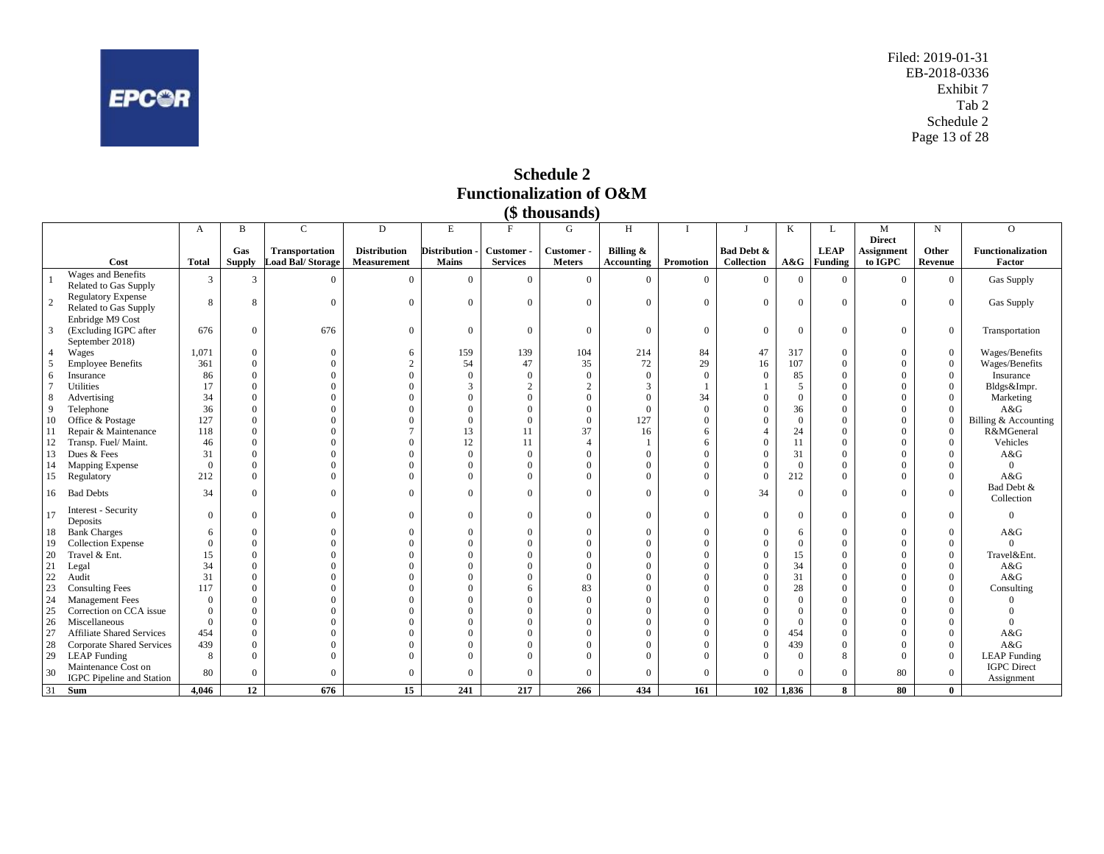<span id="page-13-0"></span>

Filed: 2019-01-31 EB-2018-0336 Exhibit 7 Tab 2 Schedule 2 Page 13 of 28

**Schedule 2 Functionalization of O&M (\$ thousands)**

|                |                                  |                |                |                       |                     |                |                 | $(\phi$ undusalius |                   |                |                  |                  |                |                    |                  |                          |
|----------------|----------------------------------|----------------|----------------|-----------------------|---------------------|----------------|-----------------|--------------------|-------------------|----------------|------------------|------------------|----------------|--------------------|------------------|--------------------------|
|                |                                  | A              | B              | $\mathsf{C}$          | D                   | E              | F               | G                  | H                 |                |                  | K                | L              | M<br><b>Direct</b> | N                | $\overline{O}$           |
|                |                                  |                | Gas            | <b>Transportation</b> | <b>Distribution</b> | Distribution - | Customer-       | Customer-          | Billing &         |                | Bad Debt &       |                  | <b>LEAP</b>    | Assignment         | Other            | <b>Functionalization</b> |
|                | Cost                             | <b>Total</b>   | <b>Supply</b>  | Load Bal/Storage      | Measurement         | Mains          | <b>Services</b> | <b>Meters</b>      | <b>Accounting</b> | Promotion      | Collection       | A&G              | <b>Funding</b> | to IGPC            | Revenue          | Factor                   |
|                | Wages and Benefits               |                |                | $\Omega$              | $\Omega$            | $\Omega$       | $\theta$        |                    | $\Omega$          |                | $\Omega$         |                  |                |                    |                  |                          |
|                | Related to Gas Supply            | 3              | 3              |                       |                     |                |                 | $\mathbf{0}$       |                   | $\mathbf{0}$   |                  | $\boldsymbol{0}$ | $\theta$       | $\Omega$           | $\overline{0}$   | Gas Supply               |
| $\overline{c}$ | <b>Regulatory Expense</b>        | 8              | 8              | $\theta$              | $\Omega$            | $\Omega$       | $\Omega$        | $\overline{0}$     | $\Omega$          | $\overline{0}$ | $\theta$         | $\mathbf{0}$     | $\theta$       | $\overline{0}$     | $\mathbf{0}$     | Gas Supply               |
|                | Related to Gas Supply            |                |                |                       |                     |                |                 |                    |                   |                |                  |                  |                |                    |                  |                          |
|                | Enbridge M9 Cost                 |                |                |                       |                     |                |                 |                    |                   |                |                  |                  |                |                    |                  |                          |
| 3              | (Excluding IGPC after            | 676            | $\overline{0}$ | 676                   | $\Omega$            | $\Omega$       | $\theta$        | $\mathbf{0}$       | $\theta$          | $\overline{0}$ | $\overline{0}$   | $\overline{0}$   | $\theta$       | $\overline{0}$     | $\mathbf{0}$     | Transportation           |
|                | September 2018)                  |                |                |                       |                     |                |                 |                    |                   |                |                  |                  |                |                    |                  |                          |
|                | Wages                            | 1,071          | $\overline{0}$ | $\overline{0}$        | 6                   | 159            | 139             | 104                | 214               | 84             | 47               | 317              | $\theta$       | $\mathbf{0}$       | $\boldsymbol{0}$ | Wages/Benefits           |
| 5              | <b>Employee Benefits</b>         | 361            | $\Omega$       | $\Omega$              | $\overline{2}$      | 54             | 47              | 35                 | 72                | 29             | 16               | 107              | $\theta$       | $\Omega$           | $\mathbf{0}$     | Wages/Benefits           |
| 6              | Insurance                        | 86             | $\Omega$       | $\overline{0}$        | $\overline{0}$      | $\Omega$       | $\Omega$        | $\overline{0}$     | $\overline{0}$    | $\overline{0}$ | $\mathbf{0}$     | 85               | $\mathbf{0}$   | $\overline{0}$     | $\overline{0}$   | Insurance                |
| $\overline{7}$ | Utilities                        | 17             | $\Omega$       | $\Omega$              | $\Omega$            | 3              | 2               | $\overline{c}$     | 3                 |                |                  | 5                | $\theta$       | $\Omega$           | $\theta$         | Bldgs&Impr.              |
| 8              | Advertising                      | 34             | $\Omega$       |                       | $\theta$            |                |                 | $\mathbf{0}$       | $\Omega$          | 34             | $\theta$         | $\overline{0}$   | $\Omega$       | $\theta$           | $\Omega$         | Marketing                |
| 9              | Telephone                        | 36             | $\overline{0}$ | $\Omega$              | $\Omega$            | $\Omega$       |                 | $\mathbf{0}$       | $\mathbf{0}$      | $\overline{0}$ | $\theta$         | 36               | $\theta$       | $\Omega$           | $\Omega$         | A&G                      |
| 10             | Office & Postage                 | 127            | $\theta$       | $\overline{0}$        | $\mathbf{0}$        | $\Omega$       | $\Omega$        | $\overline{0}$     | 127               | $\mathbf{0}$   | $\theta$         | $\overline{0}$   | $\theta$       | $\overline{0}$     | $\mathbf{0}$     | Billing & Accounting     |
| 11             | Repair & Maintenance             | 118            | $\theta$       | $\theta$              | $\overline{7}$      | 13             | 11              | 37                 | 16                | 6              | $\overline{4}$   | 24               | $\theta$       | $\theta$           | $\Omega$         | R&MGeneral               |
| 12             | Transp. Fuel/ Maint.             | 46             | $\Omega$       | $\Omega$              | $\Omega$            | 12             | 11              | $\overline{4}$     |                   | 6              | $\theta$         | 11               | $\Omega$       | $\Omega$           | $\Omega$         | Vehicles                 |
| 13             | Dues & Fees                      | 31             | $\overline{0}$ | $\Omega$              | $\Omega$            | $\Omega$       | $\Omega$        | $\overline{0}$     | $\Omega$          | $\Omega$       | $\Omega$         | 31               | $\theta$       | $\theta$           | $\Omega$         | A&G                      |
| 14             | Mapping Expense                  | $\overline{0}$ | $\overline{0}$ | $\Omega$              | $\Omega$            | $\Omega$       |                 | $\overline{0}$     | $\Omega$          | $\Omega$       | $\overline{0}$   | $\overline{0}$   | $\theta$       | $\theta$           | $\Omega$         | $\overline{0}$           |
| 15             | Regulatory                       | 212            | $\Omega$       | $\Omega$              | $\Omega$            |                |                 | $\overline{0}$     | $\Omega$          | $\Omega$       | $\overline{0}$   | 212              | $\theta$       | $\theta$           | $\Omega$         | A&G                      |
| 16             | <b>Bad Debts</b>                 | 34             | $\Omega$       | $\theta$              | $\Omega$            | $\Omega$       |                 | $\theta$           | $\Omega$          | $\Omega$       | 34               | $\overline{0}$   | $\theta$       | $\Omega$           | $\Omega$         | Bad Debt &<br>Collection |
| 17             | Interest - Security<br>Deposits  | $\mathbf{0}$   | $\overline{0}$ | $\overline{0}$        | $\Omega$            | $\Omega$       | $\Omega$        | $\overline{0}$     | $\Omega$          | $\Omega$       | $\overline{0}$   | $\overline{0}$   | $\theta$       | $\overline{0}$     | $\Omega$         | $\Omega$                 |
| 18             | <b>Bank Charges</b>              | 6              | $\theta$       | $\overline{0}$        | $\theta$            | $\Omega$       |                 | $\overline{0}$     | $\Omega$          | $\Omega$       | $\mathbf{0}$     | 6                | $\theta$       | $\mathbf{0}$       | $\Omega$         | A&G                      |
| 19             | <b>Collection Expense</b>        | $\Omega$       | $\overline{0}$ | $\theta$              | $\Omega$            | $\Omega$       |                 | $\mathbf{0}$       | $\Omega$          | $\Omega$       | $\Omega$         | $\overline{0}$   | $\theta$       | $\Omega$           | $\Omega$         | $\Omega$                 |
| 20             | Travel & Ent.                    | 15             | $\Omega$       | $\Omega$              | $\Omega$            |                |                 | $\overline{0}$     | $\Omega$          | $\Omega$       | $\theta$         | 15               | $\theta$       | $\Omega$           | $\overline{0}$   | Travel&Ent.              |
| 21             | Legal                            | 34             | $\theta$       | $\Omega$              | $\Omega$            |                |                 | $\mathbf{0}$       | $\Omega$          | $\Omega$       | $\theta$         | 34               | $\theta$       | $\theta$           | $\theta$         | A&G                      |
| 22             | Audit                            | 31             | $\theta$       | $\Omega$              | $\Omega$            |                |                 | $\overline{0}$     | $\Omega$          | $\Omega$       | $\boldsymbol{0}$ | 31               | $\Omega$       | $\theta$           | $\Omega$         | A&G                      |
| 23             | <b>Consulting Fees</b>           | 117            | $\overline{0}$ | $\Omega$              | $\Omega$            |                | 6               | 83                 | $\Omega$          | $\Omega$       | $\theta$         | 28               | $\theta$       | $\Omega$           | $\Omega$         | Consulting               |
| 24             | Management Fees                  | $\Omega$       | $\Omega$       | $\Omega$              | $\Omega$            |                |                 | $\overline{0}$     | $\Omega$          | $\Omega$       | $\overline{0}$   | $\mathbf{0}$     | $\Omega$       | $\Omega$           | $\Omega$         |                          |
| 25             | Correction on CCA issue          | $\Omega$       | $\Omega$       | $\Omega$              | $\Omega$            |                |                 | $\overline{0}$     | $\Omega$          | $\Omega$       | $\theta$         | $\mathbf{0}$     | $\theta$       | $\Omega$           |                  |                          |
| 26             | Miscellaneous                    | $\theta$       | $\theta$       | $\Omega$              | $\Omega$            |                |                 | $\overline{0}$     | $\Omega$          | $\Omega$       | $\overline{0}$   | $\overline{0}$   | $\Omega$       | $\theta$           | $\Omega$         |                          |
| 27             | <b>Affiliate Shared Services</b> | 454            | $\Omega$       | $\Omega$              | $\Omega$            |                |                 | $\mathbf{0}$       | $\Omega$          | $\Omega$       | $\theta$         | 454              | $\theta$       | $\theta$           | $\Omega$         | A&G                      |
| 28             | Corporate Shared Services        | 439            | $\theta$       | $\theta$              | $\Omega$            |                |                 | $\mathbf{0}$       | $\Omega$          | $\Omega$       | $\overline{0}$   | 439              | $\Omega$       | $\theta$           | $\mathbf{0}$     | A&G                      |
| 29             | <b>LEAP</b> Funding              | 8              | $\Omega$       | $\Omega$              | $\Omega$            |                |                 | $\mathbf{0}$       | $\Omega$          | $\Omega$       | $\theta$         | $\overline{0}$   | 8              | $\overline{0}$     | $\mathbf{0}$     | <b>LEAP</b> Funding      |
| 30             | Maintenance Cost on              | 80             | $\theta$       | $\overline{0}$        | $\Omega$            | $\Omega$       |                 | $\theta$           | $\Omega$          | $\Omega$       | $\Omega$         | $\overline{0}$   | $\theta$       | 80                 | $\Omega$         | <b>IGPC</b> Direct       |
|                | IGPC Pipeline and Station        |                |                |                       |                     |                |                 |                    |                   |                |                  |                  |                |                    |                  | Assignment               |
| 31             | Sum                              | 4.046          | 12             | 676                   | 15                  | 241            | 217             | 266                | 434               | 161            | 102              | 1.836            | 8              | 80                 | $\mathbf{0}$     |                          |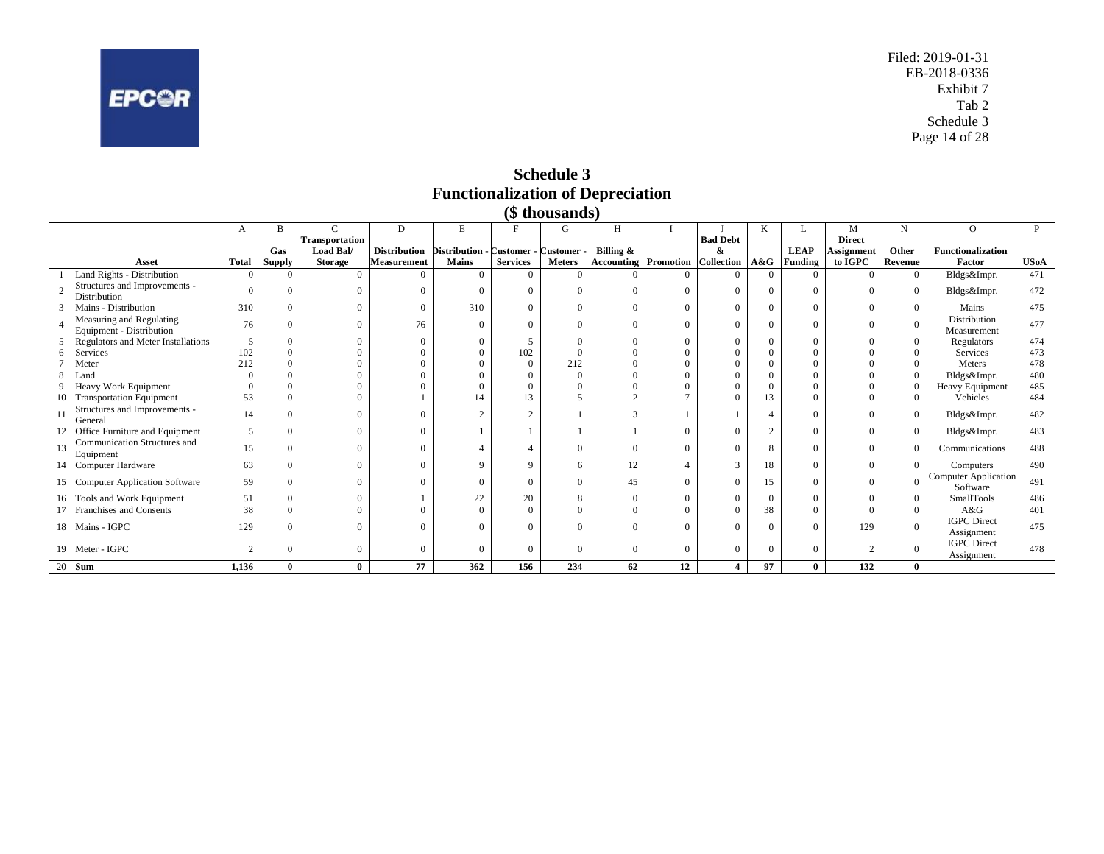<span id="page-14-0"></span>

Filed: 2019-01-31 EB-2018-0336 Exhibit 7 Tab 2 Schedule 3 Page 14 of 28

**Schedule 3 Functionalization of Depreciation**

|    |                                                      |                |               |                       |                     |                                      |                 | (\$ thousands) |                             |          |                 |          |             |                   |                |                                         |             |
|----|------------------------------------------------------|----------------|---------------|-----------------------|---------------------|--------------------------------------|-----------------|----------------|-----------------------------|----------|-----------------|----------|-------------|-------------------|----------------|-----------------------------------------|-------------|
|    |                                                      | A              | B             | C                     | D                   | $\mathbf E$                          |                 | G              | H                           |          |                 | K        |             | M                 | N              | $\Omega$                                | P           |
|    |                                                      |                |               | <b>Transportation</b> |                     |                                      |                 |                |                             |          | <b>Bad Debt</b> |          |             | <b>Direct</b>     |                |                                         |             |
|    |                                                      |                | Gas           | Load Bal/             | <b>Distribution</b> | Distribution - Customer - Customer - |                 |                | Billing $\&$                |          | &               |          | <b>LEAP</b> | <b>Assignment</b> | Other          | <b>Functionalization</b>                |             |
|    | Asset                                                | <b>Total</b>   | <b>Supply</b> | <b>Storage</b>        | <b>Measurement</b>  | <b>Mains</b>                         | <b>Services</b> | <b>Meters</b>  | <b>Accounting Promotion</b> |          | Collection A&G  |          | Funding     | to IGPC           | Revenue        | Factor                                  | <b>USoA</b> |
|    | Land Rights - Distribution                           | $\Omega$       | $\Omega$      |                       | $\Omega$            | $\overline{0}$                       |                 | $\overline{0}$ | $\Omega$                    | $\Omega$ | $\Omega$        | $\Omega$ | $^{(1)}$    | $\Omega$          | $\overline{0}$ | Bldgs&Impr.                             | 471         |
|    | Structures and Improvements -<br>Distribution        | $\Omega$       | $\Omega$      |                       | $\Omega$            | $\Omega$                             |                 | $\Omega$       | $\Omega$                    | $\Omega$ | $\Omega$        | $\Omega$ | 0           | $\Omega$          | $\overline{0}$ | Bldgs&Impr.                             | 472         |
|    | Mains - Distribution                                 | 310            | $\Omega$      | $\Omega$              | $\Omega$            | 310                                  |                 | $\Omega$       | $\Omega$                    | $\Omega$ | $\Omega$        | $\Omega$ | $\Omega$    | $\Omega$          | $\overline{0}$ | Mains                                   | 475         |
|    | Measuring and Regulating<br>Equipment - Distribution | 76             | $\Omega$      | $\Omega$              | 76                  | $\Omega$                             |                 | $\Omega$       | $\Omega$                    | $\Omega$ | $\Omega$        | $\Omega$ | 0           | $\Omega$          | $\mathbf{0}$   | Distribution<br>Measurement             | 477         |
|    | Regulators and Meter Installations                   |                | $\Omega$      |                       | $\Omega$            | $\Omega$                             |                 | $\Omega$       |                             | 0        | $\Omega$        | $\Omega$ |             | $\Omega$          | $\mathbf{0}$   | Regulators                              | 474         |
|    | Services                                             | 102            | $\Omega$      |                       | $\Omega$            | $\Omega$                             | 102             | $\Omega$       |                             |          |                 |          |             |                   | $\Omega$       | Services                                | 473         |
|    | Meter                                                | 212            | $\Omega$      |                       |                     | $\Omega$                             |                 | 212            |                             |          |                 |          |             |                   | $\Omega$       | Meters                                  | 478         |
|    | Land                                                 |                |               |                       |                     | $\Omega$                             |                 |                |                             |          |                 |          |             |                   | $\Omega$       | Bldgs&Impr.                             | 480         |
|    | Heavy Work Equipment                                 |                | $\Omega$      |                       |                     | $\Omega$                             |                 |                |                             |          |                 |          |             |                   | $\mathbf{0}$   | Heavy Equipment                         | 485         |
|    | 10 Transportation Equipment                          | 53             | $\Omega$      |                       |                     | 14                                   | 13              |                |                             |          |                 | 13       |             |                   | $\theta$       | Vehicles                                | 484         |
| 11 | Structures and Improvements -<br>General             | 14             | $\Omega$      |                       | $\Omega$            | $\overline{2}$                       | $\sim$          |                |                             |          |                 |          | 0           | $\Omega$          | $\overline{0}$ | Bldgs&Impr.                             | 482         |
|    | 12 Office Furniture and Equipment                    |                | $\Omega$      |                       | $\Omega$            |                                      |                 |                |                             | $\Omega$ | $\Omega$        | $\sim$   | 0           | $\Omega$          | $\overline{0}$ | Bldgs&Impr.                             | 483         |
| 13 | Communication Structures and<br>Equipment            | 15             | $\Omega$      |                       | $\Omega$            |                                      |                 | $\Omega$       | $\Omega$                    | $\Omega$ |                 |          | 0           | $\Omega$          | $\Omega$       | Communications                          | 488         |
|    | 14 Computer Hardware                                 | 63             | $\Omega$      | $\Omega$              | $\Omega$            | 9                                    | q               | 6              | 12                          |          | $\mathcal{R}$   | 18       | $\Omega$    | $\Omega$          | $\overline{0}$ | Computers                               | 490         |
|    | 15 Computer Application Software                     | 59             | $\Omega$      |                       | $\Omega$            | $\Omega$                             |                 | $\Omega$       | 45                          | $\Omega$ | $\Omega$        | 15       |             | $\Omega$          | $\Omega$       | <b>Computer Application</b><br>Software | 491         |
|    | 16 Tools and Work Equipment                          | 51             | $\Omega$      |                       |                     | 22                                   | 20              | 8              | $\Omega$                    | $\Omega$ | $\Omega$        | $\Omega$ | 0           | $\Omega$          | $\overline{0}$ | SmallTools                              | 486         |
|    | 17 Franchises and Consents                           | 38             | $\Omega$      |                       |                     | $\Omega$                             |                 |                |                             |          |                 | 38       |             |                   | $\Omega$       | A&G                                     | 401         |
|    | 18 Mains - IGPC                                      | 129            | 0             |                       |                     | $\Omega$                             |                 |                | $\Omega$                    |          |                 |          |             | 129               | $\mathbf{0}$   | <b>IGPC</b> Direct<br>Assignment        | 475         |
|    | 19 Meter - IGPC                                      | $\overline{2}$ | $\Omega$      | $\Omega$              | $\Omega$            | $\Omega$                             |                 | $\Omega$       | $\Omega$                    | $\Omega$ | $\Omega$        | $\Omega$ | 0           | $\overline{2}$    | $\overline{0}$ | <b>IGPC</b> Direct<br>Assignment        | 478         |
|    | $\overline{20}$ Sum                                  | 1,136          | $\bf{0}$      | $\bf{0}$              | 77                  | 362                                  | 156             | 234            | 62                          | 12       | 4               | 97       | 0           | 132               | $\bf{0}$       |                                         |             |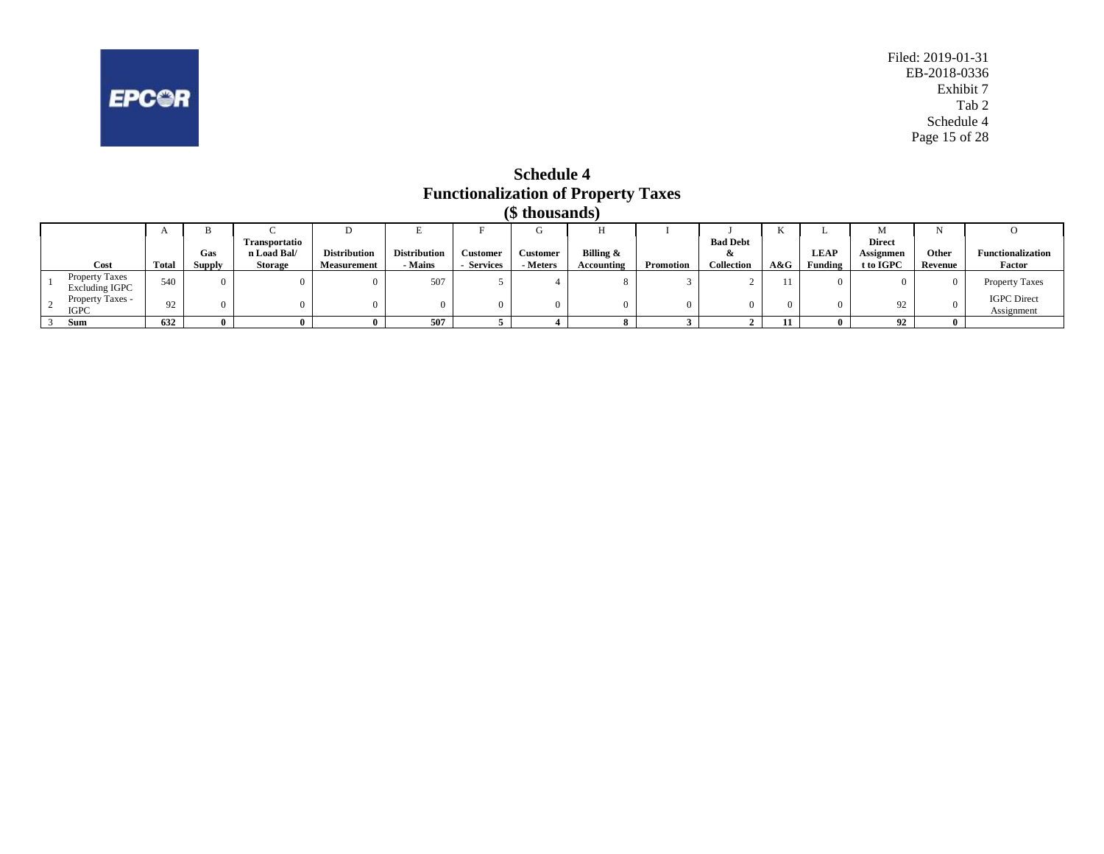<span id="page-15-0"></span>

**Schedule 4 Functionalization of Property Taxes (\$ thousands)**

|                                                | $\mathbf{r}$ | D      |                      |                     |                     |                 | U        | п          |                  |                 | 17  |             | M             |         |                                  |
|------------------------------------------------|--------------|--------|----------------------|---------------------|---------------------|-----------------|----------|------------|------------------|-----------------|-----|-------------|---------------|---------|----------------------------------|
|                                                |              |        | <b>Transportatio</b> |                     |                     |                 |          |            |                  | <b>Bad Debt</b> |     |             | <b>Direct</b> |         |                                  |
|                                                |              | Gas    | n Load Bal/          | <b>Distribution</b> | <b>Distribution</b> | <b>Customer</b> | Customer | Billing &  |                  | x               |     | <b>LEAP</b> | Assignmen     | Other   | <b>Functionalization</b>         |
| Cost                                           | Total        | Supply | <b>Storage</b>       | <b>Measurement</b>  | - Mains             | <b>Services</b> | Meters   | Accounting | <b>Promotion</b> | Collection      | A&G | Funding     | t to IGPC     | Revenue | Factor                           |
| <b>Property Taxes</b><br><b>Excluding IGPC</b> | 540          |        |                      |                     | 507                 |                 |          |            |                  |                 | 11  |             |               |         | <b>Property Taxes</b>            |
| Property Taxes -<br><b>IGPC</b>                | 92           |        |                      |                     |                     |                 |          |            |                  |                 |     |             |               |         | <b>IGPC</b> Direct<br>Assignment |
| Sum                                            | 632          |        |                      |                     | 507                 |                 |          |            |                  |                 |     |             | $^{\circ}$    |         |                                  |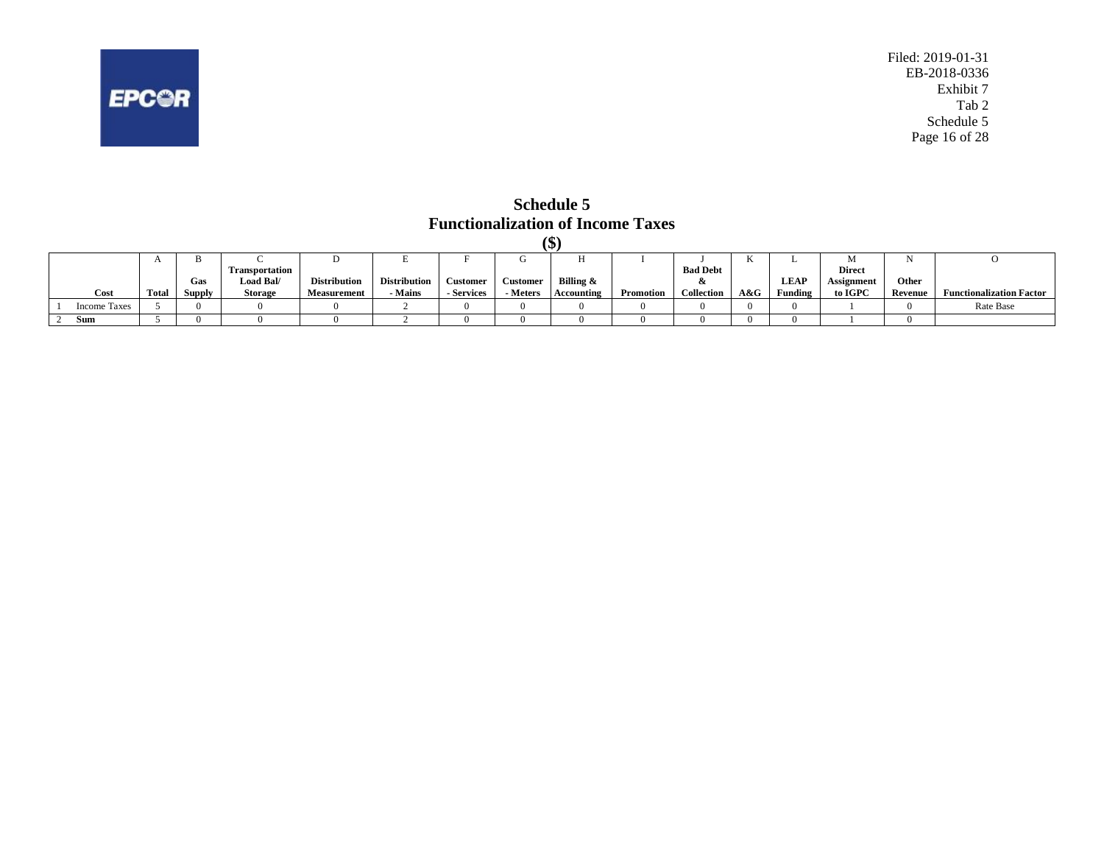<span id="page-16-0"></span>

**Schedule 5 Functionalization of Income Taxes (\$)**

|                     |                |        |                       |                     |                     |                 |                 | lΦ         |           |                       |     |             |               |         |                                 |
|---------------------|----------------|--------|-----------------------|---------------------|---------------------|-----------------|-----------------|------------|-----------|-----------------------|-----|-------------|---------------|---------|---------------------------------|
|                     | $\overline{1}$ |        |                       | ◡                   |                     |                 |                 | .,         |           |                       | 17  | ∸           |               |         |                                 |
|                     |                |        | <b>Transportation</b> |                     |                     |                 |                 |            |           | <b>Bad Debt</b>       |     |             | <b>Direct</b> |         |                                 |
|                     |                | Gas    | Load Bal/             | <b>Distribution</b> | <b>Distribution</b> | <b>Customer</b> | <b>Customer</b> | Billing &  |           | $\boldsymbol{\alpha}$ |     | <b>LEAP</b> | Assignment    | Other   |                                 |
| Cost                | Total          | Supply | <b>Storage</b>        | <b>Measurement</b>  | - Mains             | - Services      | - Meters        | Accounting | Promotion | <b>Collection</b>     | A&G | Funding     | to IGPC       | Revenue | <b>Functionalization Factor</b> |
| <b>Income Taxes</b> |                |        |                       |                     |                     |                 |                 |            |           |                       |     |             |               |         | Rate Base                       |
| Sum                 |                |        |                       |                     |                     |                 |                 |            |           |                       |     |             |               |         |                                 |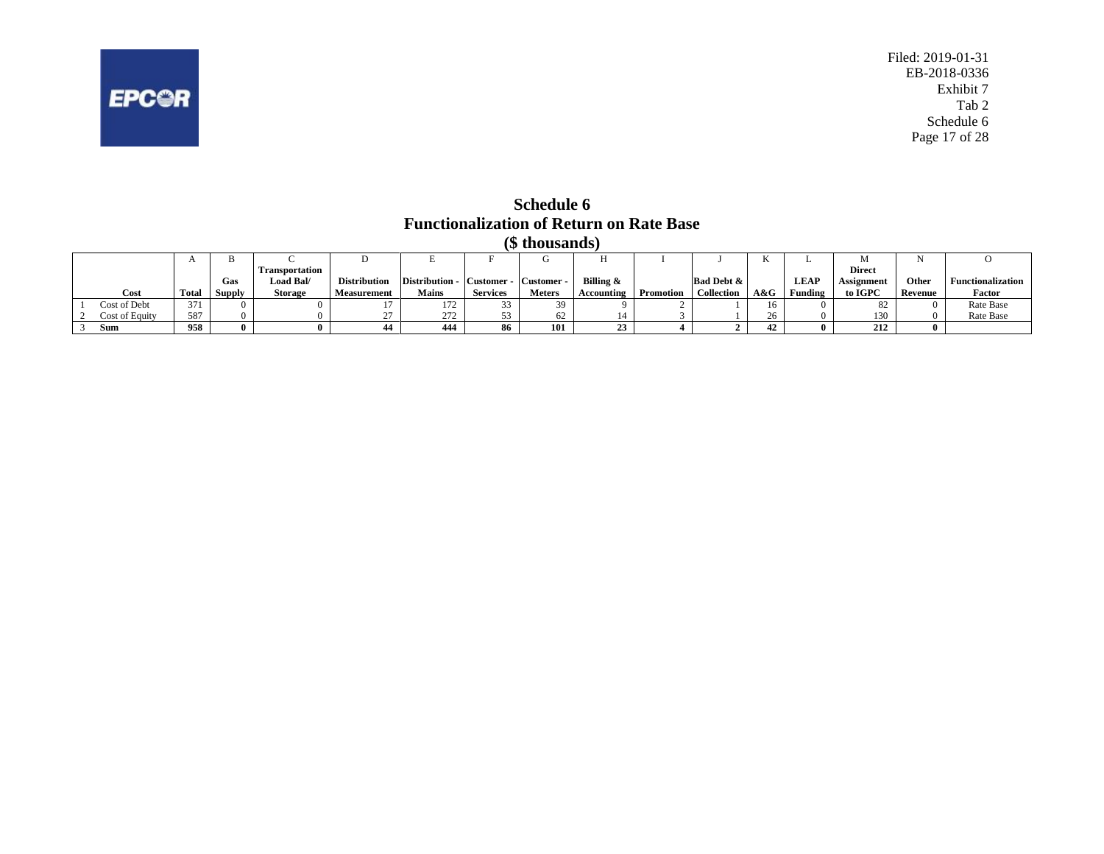<span id="page-17-0"></span>

**Schedule 6 Functionalization of Return on Rate Base (\$ thousands)**

|                |              |               |                       |                     |                                      |                 | w monsanas    |            |                  |                       |     |             |               |         |                          |
|----------------|--------------|---------------|-----------------------|---------------------|--------------------------------------|-----------------|---------------|------------|------------------|-----------------------|-----|-------------|---------------|---------|--------------------------|
|                | $\mathbf{r}$ | в             |                       |                     |                                      |                 |               |            |                  |                       | v   | .,          |               |         |                          |
|                |              |               | <b>Transportation</b> |                     |                                      |                 |               |            |                  |                       |     |             | <b>Direct</b> |         |                          |
|                |              | Gas           | Load Bal/             | <b>Distribution</b> | Distribution - Customer - Customer - |                 |               | Billing &  |                  | <b>Bad Debt &amp;</b> |     | <b>LEAP</b> | Assignment    | Other   | <b>Functionalization</b> |
| Cost           | Total        | <b>Supply</b> | <b>Storage</b>        | Measurement         | <b>Mains</b>                         | <b>Services</b> | <b>Meters</b> | Accounting | <b>Promotion</b> | Collection            | A&G | Funding     | to IGPC       | Revenue | Factor                   |
| Cost of Debt   | 371          |               |                       |                     | 172                                  | - - - -         | 39            |            |                  |                       | 16  |             | 82            |         | Rate Base                |
| Cost of Equity | 587          |               |                       |                     | 272                                  | 52.             | 62            |            |                  |                       |     |             | 130           |         | Rate Base                |
| Sum            | 958          |               |                       |                     | 444                                  | 86              | 101           |            |                  |                       | 42  |             | 212           |         |                          |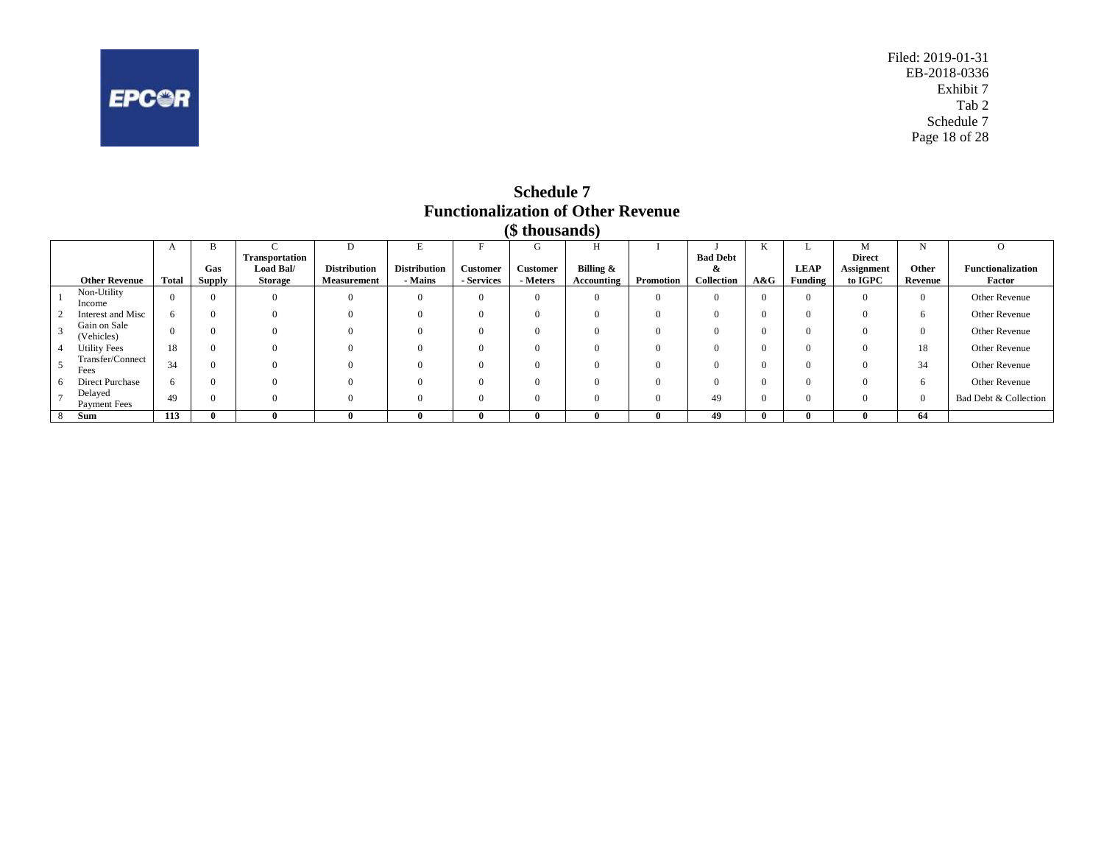<span id="page-18-0"></span>

Filed: 2019-01-31 EB-2018-0336 Exhibit 7 Tab 2 Schedule 7 Page 18 of 28

**Schedule 7 Functionalization of Other Revenue (\$ thousands)**

|                                |              |        |                |                     |                     |            | $1 + 2 = 0$ . The set of $2 = 0$ |            |           |                 |     |             |                   |         |                          |
|--------------------------------|--------------|--------|----------------|---------------------|---------------------|------------|----------------------------------|------------|-----------|-----------------|-----|-------------|-------------------|---------|--------------------------|
|                                | A            |        |                |                     |                     |            | Ü                                |            |           |                 |     |             | M                 |         |                          |
|                                |              |        | Transportation |                     |                     |            |                                  |            |           | <b>Bad Debt</b> |     |             | <b>Direct</b>     |         |                          |
|                                |              | Gas    | Load Bal/      | <b>Distribution</b> | <b>Distribution</b> | Customer   | <b>Customer</b>                  | Billing &  |           | x               |     | <b>LEAP</b> | <b>Assignment</b> | Other   | <b>Functionalization</b> |
| <b>Other Revenue</b>           | <b>Total</b> | Supply | Storage        | <b>Measurement</b>  | - Mains             | - Services | - Meters                         | Accounting | Promotion | Collection      | A&G | Funding     | to IGPC           | Revenue | Factor                   |
| Non-Utility<br>Income          | $\Omega$     |        |                |                     | $\Omega$            |            | $\Omega$                         | $\Omega$   | $\Omega$  | $\Omega$        |     | $\Omega$    | $\Omega$          |         | Other Revenue            |
| Interest and Misc              | 6.           |        |                |                     | $\Omega$            |            | $\Omega$                         | $\Omega$   |           | $\Omega$        |     | $\Omega$    | $\Omega$          |         | Other Revenue            |
| Gain on Sale<br>(Vehicles)     | $\Omega$     |        |                |                     | $\Omega$            |            | $\Omega$                         | $\Omega$   |           | $\Omega$        |     | $\Omega$    | $\Omega$          |         | Other Revenue            |
| <b>Utility Fees</b>            | 18           |        |                |                     |                     |            | $\Omega$                         | $\Omega$   |           | $\Omega$        |     | $\Omega$    | $\Omega$          | 18      | Other Revenue            |
| Transfer/Connect<br>Fees       | 34           |        |                |                     | $\Omega$            |            | $\Omega$                         | $\Omega$   |           | 0               |     | $\Omega$    | $\Omega$          | 34      | Other Revenue            |
| Direct Purchase                | 6            |        |                |                     | $\Omega$            |            | $\Omega$                         | $\Omega$   |           | O               |     | $\Omega$    | $\Omega$          |         | Other Revenue            |
| Delayed<br><b>Payment Fees</b> | 49           |        |                |                     | $\Omega$            |            | $\Omega$                         | $\Omega$   |           | 49              |     | $\Omega$    | $\Omega$          |         | Bad Debt & Collection    |
| Sum                            | 113          |        |                |                     |                     |            |                                  | 0          |           | 49              |     |             |                   | 64      |                          |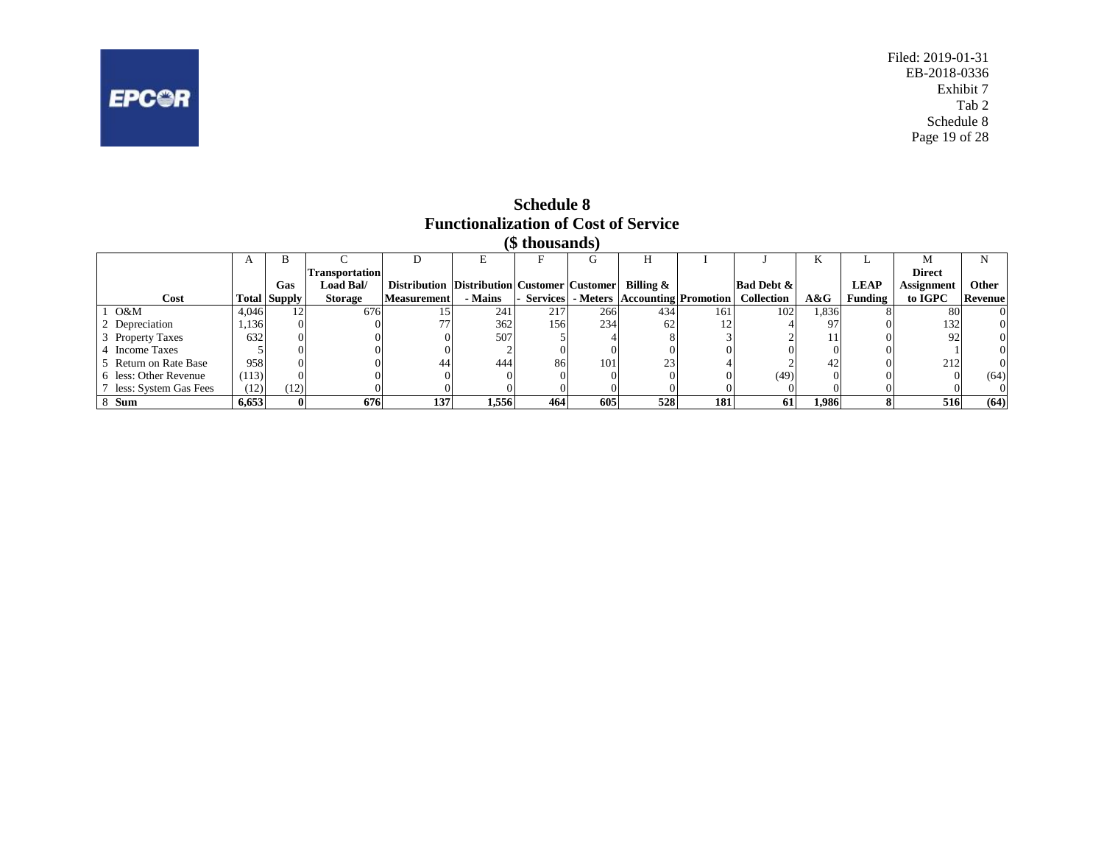<span id="page-19-0"></span>

Filed: 2019-01-31 EB-2018-0336 Exhibit 7 Tab 2 Schedule 8 Page 19 of 28

#### **Schedule 8 Functionalization of Cost of Service (\$ thousands)**

|                         |       |                     |                       |                                                    |         | ιψ unuusunus, |                  |                                                         |     |                       |       |             |               |              |
|-------------------------|-------|---------------------|-----------------------|----------------------------------------------------|---------|---------------|------------------|---------------------------------------------------------|-----|-----------------------|-------|-------------|---------------|--------------|
|                         |       |                     |                       |                                                    |         |               |                  |                                                         |     |                       | n.    |             |               |              |
|                         |       |                     | <b>Transportation</b> |                                                    |         |               |                  |                                                         |     |                       |       |             | <b>Direct</b> |              |
|                         |       | Gas                 | <b>Load Bal/</b>      | <b>Distribution Distribution Customer Customer</b> |         |               |                  | Billing &                                               |     | <b>Bad Debt &amp;</b> |       | <b>LEAP</b> | Assignment    | <b>Other</b> |
| Cost                    |       | <b>Total Supply</b> | <b>Storage</b>        | <b>Measurement</b>                                 | - Mains |               |                  | Services   Meters   Accounting   Promotion   Collection |     |                       | A&G   | Funding     | to IGPC       | Revenue      |
| O&M                     | 4.046 |                     | 676                   |                                                    | 241     | 217           | 266              | 434                                                     | 161 | 102                   | 1,836 |             | -80           | $^{(1)}$     |
| 2 Depreciation          | 1,136 |                     |                       |                                                    | 362     | 156           | 234              |                                                         |     |                       | 97    |             | 132           | 0            |
| 3 Property Taxes        | 632   |                     |                       |                                                    | 507     |               |                  |                                                         |     |                       |       |             | 92            | 0            |
| <b>Income Taxes</b>     |       |                     |                       |                                                    |         |               |                  |                                                         |     |                       |       |             |               | 0            |
| 5 Return on Rate Base   | 958   |                     |                       | 44                                                 | 444     | 86            | 101 <sub>1</sub> | 23                                                      |     |                       |       |             | 212           | 0            |
| 6 less: Other Revenue   | (113) |                     |                       |                                                    |         |               |                  |                                                         |     | (49)                  |       |             |               | (64)         |
| 7 less: System Gas Fees | (12)  | (12)                |                       |                                                    |         |               |                  |                                                         |     |                       |       |             |               | $\Omega$     |
| 8 Sum                   | 6.653 |                     | 676                   | 137                                                | 1,556   | 464           | 605              | 528                                                     | 181 | 61                    | 1,986 |             | 516           | (64)         |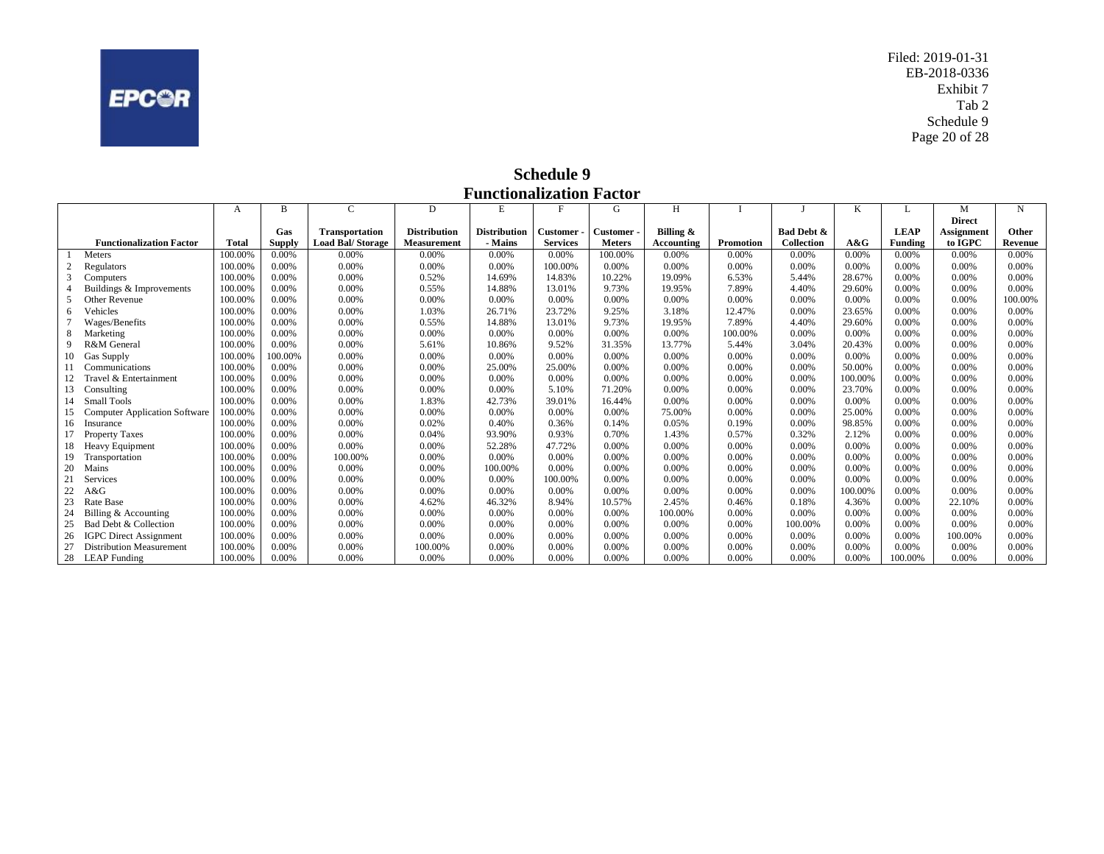<span id="page-20-0"></span>

Filed: 2019-01-31 EB-2018-0336 Exhibit 7 Tab 2 Schedule 9 Page 20 of 28

**Schedule 9 Functionalization Factor**

|          |                                      | A       | B             | C                        | D                   | E                   | F               | G             | H          |                  |                       | K       |                |                   | N              |
|----------|--------------------------------------|---------|---------------|--------------------------|---------------------|---------------------|-----------------|---------------|------------|------------------|-----------------------|---------|----------------|-------------------|----------------|
|          |                                      |         |               |                          |                     |                     |                 |               |            |                  |                       |         |                | <b>Direct</b>     |                |
|          |                                      |         | Gas           | <b>Transportation</b>    | <b>Distribution</b> | <b>Distribution</b> | Customer        | Customer -    | Billing &  |                  | <b>Bad Debt &amp;</b> |         | <b>LEAP</b>    | <b>Assignment</b> | Other          |
|          | <b>Functionalization Factor</b>      | Total   | <b>Supply</b> | <b>Load Bal/ Storage</b> | Measurement         | - Mains             | <b>Services</b> | <b>Meters</b> | Accounting | <b>Promotion</b> | Collection            | A&G     | <b>Funding</b> | to IGPC           | <b>Revenue</b> |
|          | Meters                               | 100.00% | 0.00%         | 0.00%                    | 0.00%               | 0.00%               | 0.00%           | 100.00%       | 0.00%      | 0.00%            | 0.00%                 | 0.00%   | 0.00%          | 0.00%             | 0.00%          |
| $\gamma$ | Regulators                           | 100.00% | 0.00%         | 0.00%                    | 0.00%               | 0.00%               | 100.00%         | 0.00%         | 0.00%      | 0.00%            | 0.00%                 | 0.00%   | 0.00%          | 0.00%             | 0.00%          |
|          | Computers                            | 100.00% | 0.00%         | 0.00%                    | 0.52%               | 14.69%              | 14.83%          | 10.22%        | 19.09%     | 6.53%            | 5.44%                 | 28.67%  | 0.00%          | 0.00%             | 0.00%          |
|          | Buildings & Improvements             | 100.00% | 0.00%         | 0.00%                    | 0.55%               | 14.88%              | 13.01%          | 9.73%         | 19.95%     | 7.89%            | 4.40%                 | 29.60%  | 0.00%          | 0.00%             | 0.00%          |
|          | Other Revenue                        | 100.00% | 0.00%         | 0.00%                    | 0.00%               | 0.00%               | 0.00%           | 0.00%         | 0.00%      | 0.00%            | 0.00%                 | 0.00%   | 0.00%          | 0.00%             | 100.00%        |
|          | Vehicles                             | 100.00% | 0.00%         | 0.00%                    | 1.03%               | 26.71%              | 23.72%          | 9.25%         | 3.18%      | 12.47%           | 0.00%                 | 23.65%  | 0.00%          | 0.00%             | 0.00%          |
|          | Wages/Benefits                       | 100.00% | 0.00%         | 0.00%                    | 0.55%               | 14.88%              | 13.01%          | 9.73%         | 19.95%     | 7.89%            | 4.40%                 | 29.60%  | 0.00%          | 0.00%             | 0.00%          |
| 8        | Marketing                            | 100.00% | 0.00%         | 0.00%                    | 0.00%               | 0.00%               | 0.00%           | 0.00%         | 0.00%      | 100.00%          | 0.00%                 | 0.00%   | 0.00%          | 0.00%             | 0.00%          |
| 9        | R&M General                          | 100.00% | $0.00\%$      | 0.00%                    | 5.61%               | 10.86%              | 9.52%           | 31.35%        | 13.77%     | 5.44%            | 3.04%                 | 20.43%  | 0.00%          | 0.00%             | 0.00%          |
| 10       | Gas Supply                           | 100.00% | 100.00%       | 0.00%                    | 0.00%               | 0.00%               | 0.00%           | 0.00%         | 0.00%      | 0.00%            | 0.00%                 | 0.00%   | 0.00%          | 0.00%             | 0.00%          |
|          | Communications                       | 100.00% | $0.00\%$      | 0.00%                    | 0.00%               | 25.00%              | 25.00%          | 0.00%         | 0.00%      | 0.00%            | 0.00%                 | 50.00%  | 0.00%          | 0.00%             | 0.00%          |
| 12       | Travel & Entertainment               | 100.00% | 0.00%         | 0.00%                    | 0.00%               | 0.00%               | 0.00%           | 0.00%         | 0.00%      | 0.00%            | 0.00%                 | 100.00% | 0.00%          | 0.00%             | 0.00%          |
| 13       | Consulting                           | 100.00% | 0.00%         | 0.00%                    | 0.00%               | 0.00%               | 5.10%           | 71.20%        | 0.00%      | 0.00%            | 0.00%                 | 23.70%  | 0.00%          | 0.00%             | 0.00%          |
|          | <b>Small Tools</b>                   | 100.00% | 0.00%         | 0.00%                    | 1.83%               | 42.73%              | 39.01%          | 16.44%        | 0.00%      | 0.00%            | 0.00%                 | 0.00%   | 0.00%          | 0.00%             | 0.00%          |
| 15       | <b>Computer Application Software</b> | 100.00% | 0.00%         | 0.00%                    | 0.00%               | 0.00%               | 0.00%           | 0.00%         | 75.00%     | 0.00%            | 0.00%                 | 25.00%  | 0.00%          | 0.00%             | 0.00%          |
| 16       | Insurance                            | 100.00% | 0.00%         | 0.00%                    | 0.02%               | 0.40%               | 0.36%           | 0.14%         | 0.05%      | 0.19%            | 0.00%                 | 98.85%  | 0.00%          | 0.00%             | 0.00%          |
|          | <b>Property Taxes</b>                | 100.00% | 0.00%         | 0.00%                    | 0.04%               | 93.90%              | 0.93%           | 0.70%         | 1.43%      | 0.57%            | 0.32%                 | 2.12%   | 0.00%          | 0.00%             | 0.00%          |
| 18       | Heavy Equipment                      | 100.00% | 0.00%         | 0.00%                    | 0.00%               | 52.28%              | 47.72%          | 0.00%         | 0.00%      | 0.00%            | 0.00%                 | 0.00%   | 0.00%          | 0.00%             | 0.00%          |
| 19       | Transportation                       | 100.00% | 0.00%         | 100.00%                  | 0.00%               | 0.00%               | 0.00%           | 0.00%         | 0.00%      | 0.00%            | 0.00%                 | 0.00%   | 0.00%          | 0.00%             | 0.00%          |
| 20       | Mains                                | 100.00% | 0.00%         | 0.00%                    | 0.00%               | 100.00%             | 0.00%           | 0.00%         | 0.00%      | 0.00%            | 0.00%                 | 0.00%   | 0.00%          | 0.00%             | 0.00%          |
| 21       | Services                             | 100.00% | 0.00%         | 0.00%                    | 0.00%               | 0.00%               | 100.00%         | 0.00%         | 0.00%      | 0.00%            | 0.00%                 | 0.00%   | 0.00%          | 0.00%             | 0.00%          |
| 22       | A&G                                  | 100.00% | $0.00\%$      | 0.00%                    | 0.00%               | 0.00%               | 0.00%           | 0.00%         | 0.00%      | 0.00%            | 0.00%                 | 100.00% | 0.00%          | 0.00%             | 0.00%          |
| 23       | Rate Base                            | 100.00% | 0.00%         | 0.00%                    | 4.62%               | 46.32%              | 8.94%           | 10.57%        | 2.45%      | 0.46%            | 0.18%                 | 4.36%   | 0.00%          | 22.10%            | 0.00%          |
| 24       | Billing & Accounting                 | 100.00% | 0.00%         | 0.00%                    | 0.00%               | 0.00%               | 0.00%           | 0.00%         | 100.00%    | 0.00%            | 0.00%                 | 0.00%   | 0.00%          | 0.00%             | 0.00%          |
| 25       | Bad Debt & Collection                | 100.00% | 0.00%         | 0.00%                    | 0.00%               | 0.00%               | 0.00%           | 0.00%         | 0.00%      | 0.00%            | 100.00%               | 0.00%   | 0.00%          | 0.00%             | 0.00%          |
| 26       | <b>IGPC</b> Direct Assignment        | 100.00% | 0.00%         | 0.00%                    | 0.00%               | 0.00%               | 0.00%           | 0.00%         | 0.00%      | 0.00%            | 0.00%                 | 0.00%   | 0.00%          | 100.00%           | 0.00%          |
| 27       | <b>Distribution Measurement</b>      | 100.00% | 0.00%         | 0.00%                    | 100.00%             | 0.00%               | 0.00%           | 0.00%         | 0.00%      | 0.00%            | 0.00%                 | 0.00%   | 0.00%          | 0.00%             | 0.00%          |
| 28       | <b>LEAP</b> Funding                  | 100.00% | 0.00%         | 0.00%                    | 0.00%               | 0.00%               | 0.00%           | 0.00%         | 0.00%      | 0.00%            | 0.00%                 | 0.00%   | 100.00%        | 0.00%             | 0.00%          |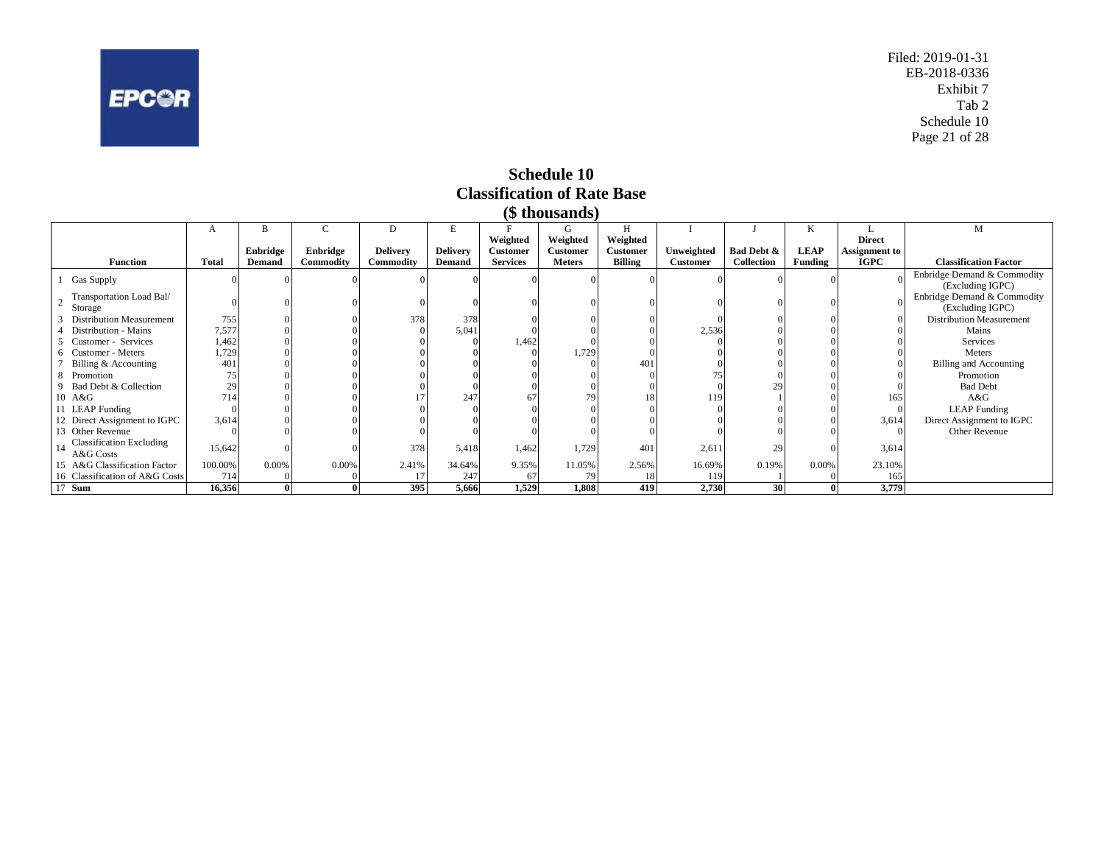<span id="page-21-0"></span>

Filed: 2019-01-31 EB-2018-0336 Exhibit 7 Tab 2 Schedule 10 Page 21 of 28

#### **Schedule 10 Classification of Rate Base (\$ thousands)**

| (P UIOUSAIIUS <i>)</i>                       |              |          |           |                 |                 |                 |                 |                 |                 |            |                |                      |                                                 |
|----------------------------------------------|--------------|----------|-----------|-----------------|-----------------|-----------------|-----------------|-----------------|-----------------|------------|----------------|----------------------|-------------------------------------------------|
|                                              |              |          | U         |                 |                 |                 | G               |                 |                 |            | ĸ              |                      | M                                               |
|                                              |              |          |           |                 |                 | Weighted        | Weighted        | Weighted        |                 |            |                | <b>Direct</b>        |                                                 |
|                                              |              | Enbridge | Enbridge  | <b>Delivery</b> | <b>Delivery</b> | <b>Customer</b> | <b>Customer</b> | <b>Customer</b> | Unweighted      | Bad Debt & | <b>LEAP</b>    | <b>Assignment</b> to |                                                 |
| <b>Function</b>                              | <b>Total</b> | Demand   | Commodity | Commodity       | <b>Demand</b>   | <b>Services</b> | <b>Meters</b>   | <b>Billing</b>  | <b>Customer</b> | Collection | <b>Funding</b> | <b>IGPC</b>          | <b>Classification Factor</b>                    |
| <b>Gas Supply</b>                            |              |          |           |                 |                 |                 |                 |                 |                 |            |                |                      | Enbridge Demand & Commodity<br>(Excluding IGPC) |
| Transportation Load Bal/<br>Storage          |              |          |           |                 |                 |                 |                 |                 |                 |            |                |                      | Enbridge Demand & Commodity<br>(Excluding IGPC) |
| <b>Distribution Measurement</b>              | 755          |          |           | 378             | 378             |                 |                 |                 |                 |            |                |                      | <b>Distribution Measurement</b>                 |
| Distribution - Mains                         | 7,577        |          |           |                 | 5,041           |                 |                 |                 | 2,536           |            |                |                      | Mains                                           |
| Customer - Services                          | 1,462        |          |           |                 |                 | 1,462           |                 |                 |                 |            |                |                      | Services                                        |
| Customer - Meters                            | 1,729        |          |           |                 |                 |                 | 1,729           |                 |                 |            |                |                      | Meters                                          |
| Billing & Accounting                         | 401          |          |           |                 |                 |                 |                 | 401             |                 |            |                |                      | <b>Billing and Accounting</b>                   |
| Promotion                                    |              |          |           |                 |                 |                 |                 |                 |                 |            |                |                      | Promotion                                       |
| Bad Debt & Collection                        | 29           |          |           |                 |                 |                 |                 |                 |                 | 29         |                |                      | <b>Bad Debt</b>                                 |
| 10 A&G                                       | 714          |          |           |                 | 247             |                 | 79              | 18              | 119             |            |                | 165                  | A&G                                             |
| 11 LEAP Funding                              |              |          |           |                 |                 |                 |                 |                 |                 |            |                |                      | <b>LEAP</b> Funding                             |
| 12 Direct Assignment to IGPC                 | 3,614        |          |           |                 |                 |                 |                 |                 |                 |            |                | 3,614                | Direct Assignment to IGPC                       |
| 13 Other Revenue                             |              |          |           |                 |                 |                 |                 |                 |                 |            |                |                      | Other Revenue                                   |
| <b>Classification Excluding</b><br>A&G Costs | 15,642       |          |           | 378             | 5,418           | 1,462           | 1,729           | 401             | 2,611           | 29         |                | 3,614                |                                                 |
| 15 A&G Classification Factor                 | 100.00%      | 0.00%    | 0.00%     | 2.41%           | 34.64%          | 9.35%           | 11.05%          | 2.56%           | 16.69%          | 0.19%      | 0.00%          | 23.10%               |                                                 |
| 16 Classification of A&G Costs               | 714          |          |           |                 | 247             | -67             |                 |                 | 119             |            |                | 165                  |                                                 |
| 17 <b>Sum</b>                                | 16,356       |          |           | 395             | 5,666           | 1,529           | 1,808           | 419             | 2,730           | 30         |                | 3,779                |                                                 |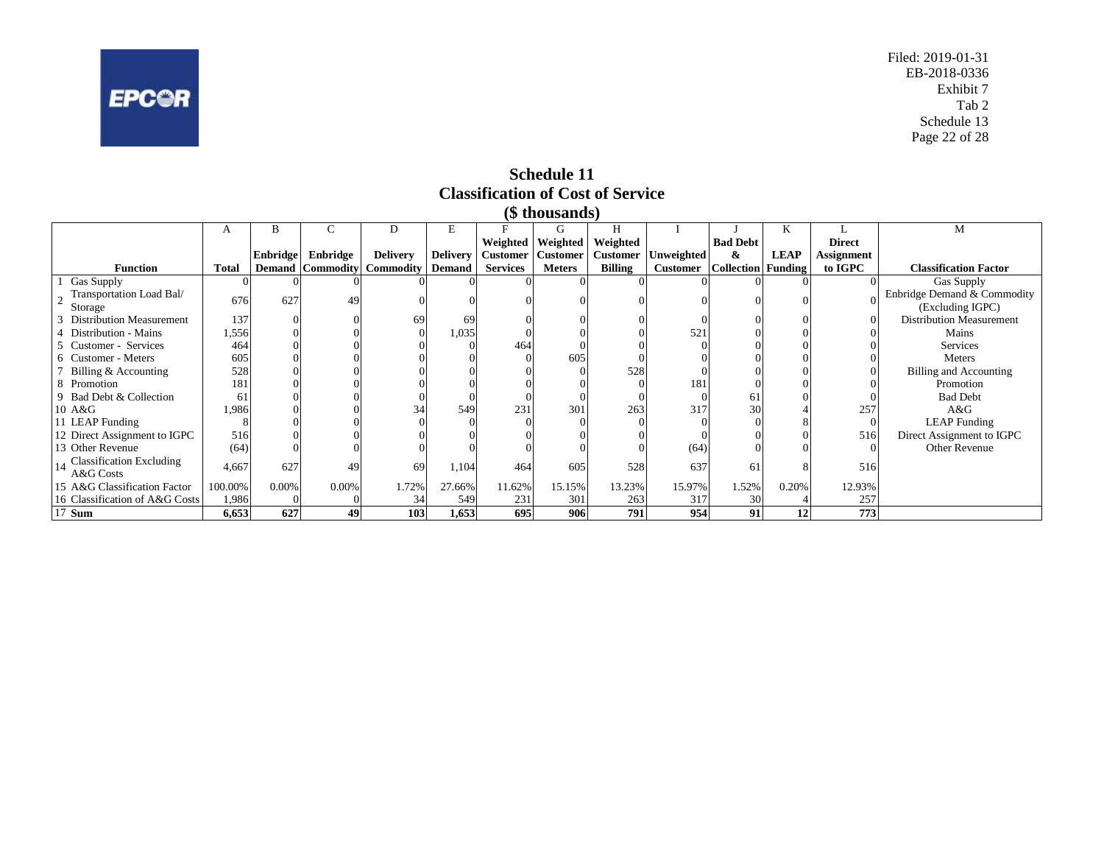<span id="page-22-0"></span>

Filed: 2019-01-31 EB-2018-0336 Exhibit 7 Tab 2 Schedule 13 Page 22 of 28

**Schedule 11 Classification of Cost of Service**

| (\$ thousands)                           |              |                 |                         |                 |                 |                 |                   |                 |                                    |                 |             |                   |                                 |
|------------------------------------------|--------------|-----------------|-------------------------|-----------------|-----------------|-----------------|-------------------|-----------------|------------------------------------|-----------------|-------------|-------------------|---------------------------------|
|                                          | A            | B               |                         | D               | E               |                 | G                 | H               |                                    |                 | K           |                   | M                               |
|                                          |              |                 |                         |                 |                 |                 | Weighted Weighted | Weighted        |                                    | <b>Bad Debt</b> |             | <b>Direct</b>     |                                 |
|                                          |              | <b>Enbridge</b> | Enbridge                | <b>Delivery</b> | <b>Delivery</b> | Customer        | <b>Customer</b>   | <b>Customer</b> | Unweighted                         | &               | <b>LEAP</b> | <b>Assignment</b> |                                 |
| <b>Function</b>                          | <b>Total</b> |                 | <b>Demand Commodity</b> | Commodity       | <b>Demand</b>   | <b>Services</b> | <b>Meters</b>     | <b>Billing</b>  | <b>Customer</b> Collection Funding |                 |             | to IGPC           | <b>Classification Factor</b>    |
| Gas Supply                               |              |                 |                         |                 |                 |                 |                   |                 |                                    |                 |             |                   | Gas Supply                      |
| Transportation Load Bal/                 | 676          | 627             | 49                      |                 |                 |                 |                   |                 |                                    |                 |             |                   | Enbridge Demand & Commodity     |
| Storage                                  |              |                 |                         |                 |                 |                 |                   |                 |                                    |                 |             |                   | (Excluding IGPC)                |
| 3 Distribution Measurement               | 137          |                 |                         | 69              | 69              |                 |                   |                 |                                    |                 |             |                   | <b>Distribution Measurement</b> |
| 4 Distribution - Mains                   | 1,556        |                 |                         |                 | 1,035           |                 |                   |                 | 521                                |                 |             |                   | Mains                           |
| 5 Customer - Services                    | 464          |                 |                         |                 |                 | 464             |                   |                 |                                    |                 |             |                   | <b>Services</b>                 |
| 6 Customer - Meters                      | 605          |                 |                         |                 |                 |                 | 605               |                 |                                    |                 |             |                   | Meters                          |
| 7 Billing & Accounting                   | 528          |                 |                         |                 |                 |                 |                   | 528             |                                    |                 |             |                   | Billing and Accounting          |
| 8 Promotion                              | 181          |                 |                         |                 |                 |                 |                   |                 | 181                                |                 |             |                   | Promotion                       |
| 9 Bad Debt & Collection                  | 61           |                 |                         |                 |                 |                 |                   |                 |                                    | 6               |             |                   | <b>Bad Debt</b>                 |
| 10 A&G                                   | 1,986        |                 |                         |                 | 549             | 231             | 301               | 263             | 317                                | 30              |             | 257               | A&G                             |
| 11 LEAP Funding                          |              |                 |                         |                 |                 |                 |                   |                 |                                    |                 |             |                   | <b>LEAP</b> Funding             |
| 12 Direct Assignment to IGPC             | 516          |                 |                         |                 |                 |                 |                   |                 |                                    |                 |             | 516               | Direct Assignment to IGPC       |
| 13 Other Revenue                         | (64)         |                 |                         |                 |                 |                 |                   |                 | (64)                               |                 |             |                   | <b>Other Revenue</b>            |
| 14 Classification Excluding<br>A&G Costs | 4,667        | 627             | 49                      | 69              | 1,104           | 464             | 605               | 528             | 637                                | 61              |             | 516               |                                 |
| 15 A&G Classification Factor             | 100.00%      | 0.00%           | 0.00%                   | 1.72%           | 27.66%          | 11.62%          | 15.15%            | 13.23%          | 15.97%                             | 1.52%           | 0.20%       | 12.93%            |                                 |
| 16 Classification of A&G Costs           | 1,986        |                 |                         | 34              | 549             | 231             | 301               | 263             | 317                                | 30              |             | 257               |                                 |
| 17 <b>Sum</b>                            | 6,653        | 627             | 49                      | 103             | 1,653           | 695             | 906               | 791             | 954                                | 91              | 12          | 773               |                                 |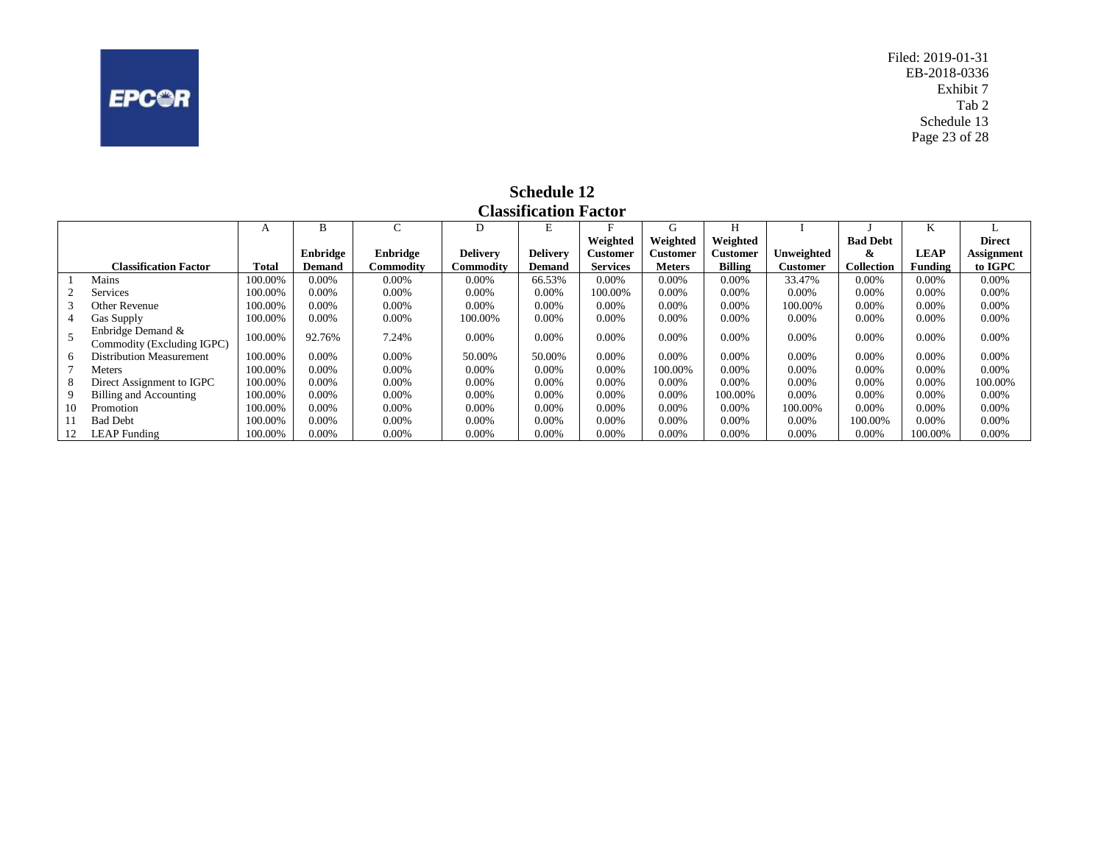<span id="page-23-0"></span>

Filed: 2019-01-31 EB-2018-0336 Exhibit 7 Tab 2 Schedule 13 Page 23 of 28

|     | <b>Classification Factor</b>                    |              |               |           |                 |                 |                 |               |                |            |                   |             |               |
|-----|-------------------------------------------------|--------------|---------------|-----------|-----------------|-----------------|-----------------|---------------|----------------|------------|-------------------|-------------|---------------|
|     |                                                 | A            | B             | ⌒         | D               |                 | F               | G             | Н              |            |                   | n.          |               |
|     |                                                 |              |               |           |                 |                 | Weighted        | Weighted      | Weighted       |            | <b>Bad Debt</b>   |             | <b>Direct</b> |
|     |                                                 |              | Enbridge      | Enbridge  | <b>Delivery</b> | <b>Delivery</b> | Customer        | Customer      | Customer       | Unweighted | &                 | <b>LEAP</b> | Assignment    |
|     | <b>Classification Factor</b>                    | <b>Total</b> | <b>Demand</b> | Commodity | Commoditv       | <b>Demand</b>   | <b>Services</b> | <b>Meters</b> | <b>Billing</b> | Customer   | <b>Collection</b> | Funding     | to IGPC       |
|     | Mains                                           | 100.00%      | $0.00\%$      | 0.00%     | $0.00\%$        | 66.53%          | 0.00%           | 0.00%         | $0.00\%$       | 33.47%     | 0.00%             | 0.00%       | $0.00\%$      |
|     | <b>Services</b>                                 | 100.00%      | $0.00\%$      | 0.00%     | 0.00%           | 0.00%           | 100.00%         | 0.00%         | $0.00\%$       | 0.00%      | 0.00%             | 0.00%       | $0.00\%$      |
| 3   | Other Revenue                                   | 100.00%      | $0.00\%$      | 0.00%     | $0.00\%$        | 0.00%           | 0.00%           | 0.00%         | $0.00\%$       | 100.00%    | 0.00%             | 0.00%       | $0.00\%$      |
| 4   | Gas Supply                                      | 100.00%      | $0.00\%$      | 0.00%     | 100.00%         | 0.00%           | 0.00%           | $0.00\%$      | $0.00\%$       | 0.00%      | 0.00%             | 0.00%       | $0.00\%$      |
|     | Enbridge Demand &<br>Commodity (Excluding IGPC) | 100.00%      | 92.76%        | 7.24%     | 0.00%           | 0.00%           | 0.00%           | 0.00%         | $0.00\%$       | 0.00%      | 0.00%             | 0.00%       | 0.00%         |
| 6   | <b>Distribution Measurement</b>                 | 100.00%      | 0.00%         | 0.00%     | 50.00%          | 50.00%          | 0.00%           | 0.00%         | $0.00\%$       | 0.00%      | 0.00%             | 0.00%       | 0.00%         |
|     | Meters                                          | 100.00%      | $0.00\%$      | 0.00%     | 0.00%           | 0.00%           | 0.00%           | 100.00%       | $0.00\%$       | 0.00%      | 0.00%             | 0.00%       | $0.00\%$      |
| 8   | Direct Assignment to IGPC                       | 100.00%      | $0.00\%$      | 0.00%     | 0.00%           | 0.00%           | 0.00%           | 0.00%         | $0.00\%$       | $0.00\%$   | 0.00%             | 0.00%       | 100.00%       |
| 9   | Billing and Accounting                          | 100.00%      | $0.00\%$      | 0.00%     | 0.00%           | 0.00%           | 0.00%           | 0.00%         | 100.00%        | 0.00%      | 0.00%             | 0.00%       | $0.00\%$      |
| 10  | Promotion                                       | 100.00%      | $0.00\%$      | 0.00%     | 0.00%           | 0.00%           | 0.00%           | 0.00%         | $0.00\%$       | 100.00%    | 0.00%             | 0.00%       | $0.00\%$      |
| 11. | <b>Bad Debt</b>                                 | 100.00%      | $0.00\%$      | 0.00%     | $0.00\%$        | 0.00%           | 0.00%           | 0.00%         | $0.00\%$       | 0.00%      | 100.00%           | 0.00%       | $0.00\%$      |
|     | <b>LEAP</b> Funding                             | 100.00%      | $0.00\%$      | 0.00%     | 0.00%           | 0.00%           | 0.00%           | 0.00%         | $0.00\%$       | 0.00%      | 0.00%             | 100.00%     | $0.00\%$      |

**Schedule 12**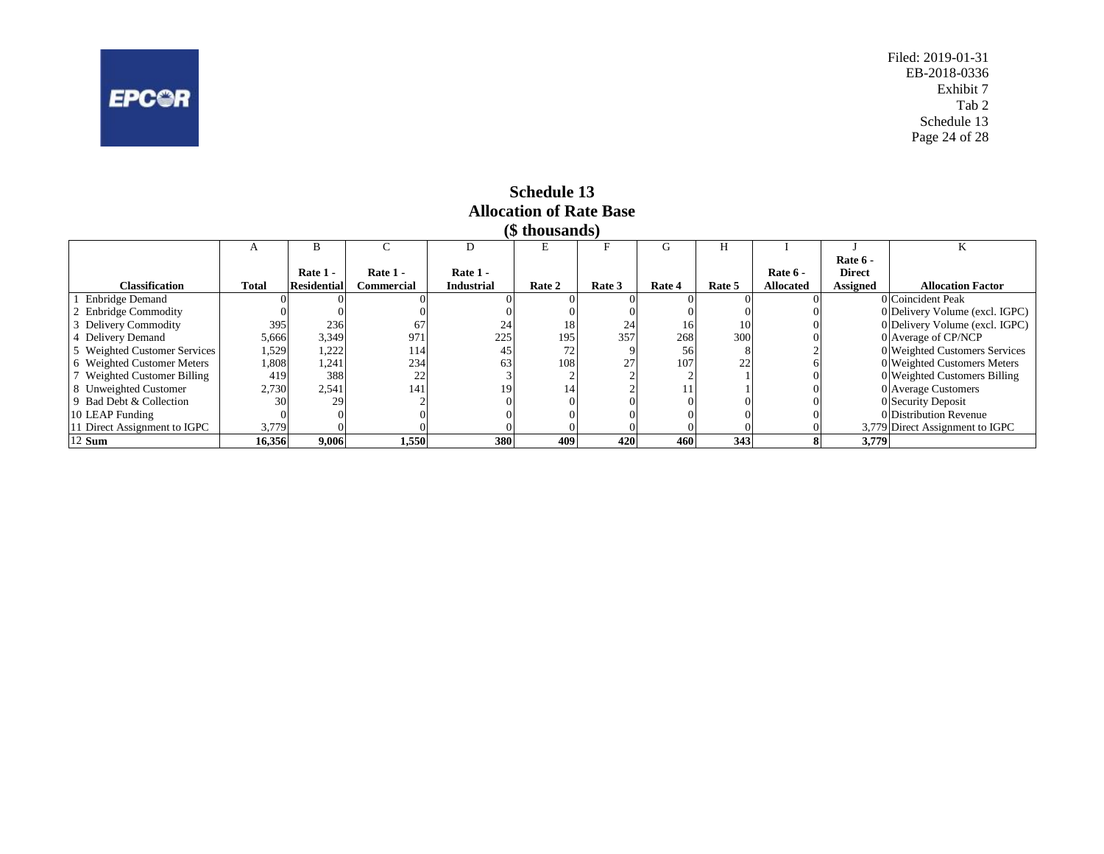<span id="page-24-0"></span>

Filed: 2019-01-31 EB-2018-0336 Exhibit 7 Tab 2 Schedule 13 Page 24 of 28

|                            | (5 thousands)  |                    |            |                   |             |        |        |        |           |                 |                                 |  |
|----------------------------|----------------|--------------------|------------|-------------------|-------------|--------|--------|--------|-----------|-----------------|---------------------------------|--|
|                            | $\overline{ }$ |                    |            |                   |             |        | €Ť.    | H      |           |                 |                                 |  |
|                            |                |                    |            |                   |             |        |        |        |           | Rate 6 -        |                                 |  |
|                            |                | Rate 1 -           | Rate 1 -   | Rate 1 -          |             |        |        |        | Rate 6 -  | <b>Direct</b>   |                                 |  |
| <b>Classification</b>      | Total          | <b>Residential</b> | Commercial | <b>Industrial</b> | Rate 2      | Rate 3 | Rate 4 | Rate 5 | Allocated | <b>Assigned</b> | <b>Allocation Factor</b>        |  |
| <b>Enbridge Demand</b>     |                |                    |            |                   |             |        |        |        |           |                 | 0 Coincident Peak               |  |
| 2 Enbridge Commodity       |                |                    |            |                   |             |        |        |        |           |                 | 0 Delivery Volume (excl. IGPC)  |  |
| Delivery Commodity         | 395            | 236                |            | 24                |             | 24     | 16     | 10     |           |                 | 0 Delivery Volume (excl. IGPC)  |  |
| 4 Delivery Demand          | 5,666          | 3,349              | 971        | 225               | 195         | 357    | 268    | 300    |           |                 | 0 Average of CP/NCP             |  |
| Weighted Customer Services | 1,529          | 1,222              | 114        |                   | $7^{\circ}$ |        | 56     |        |           |                 | 0 Weighted Customers Services   |  |
| 6 Weighted Customer Meters | 1,808          | 1,241              | 234        | 63                | 108         |        | 107    | 22     |           |                 | 0 Weighted Customers Meters     |  |
| Weighted Customer Billing  | 419            | 388                | 22         |                   |             |        |        |        |           |                 | 0 Weighted Customers Billing    |  |
| 8 Unweighted Customer      | 2,730          | 2,541              | 141        | 19                | 14          |        |        |        |           |                 | 0 Average Customers             |  |
| 9 Bad Debt & Collection    | 30             | 29                 |            |                   |             |        |        |        |           |                 | 0 Security Deposit              |  |
| 10 LEAP Funding            |                |                    |            |                   |             |        |        |        |           |                 | 0 Distribution Revenue          |  |
| Direct Assignment to IGPC  | 3,779          |                    |            |                   |             |        |        |        |           |                 | 3,779 Direct Assignment to IGPC |  |
| 12 Sum                     | 16,356         | 9,006              | 1,550      | 380               | 409         | 420    | 460    | 343    |           | 3,779           |                                 |  |

#### **Schedule 13 Allocation of Rate Base**  $\mathbf{a} \cdot \mathbf{b}$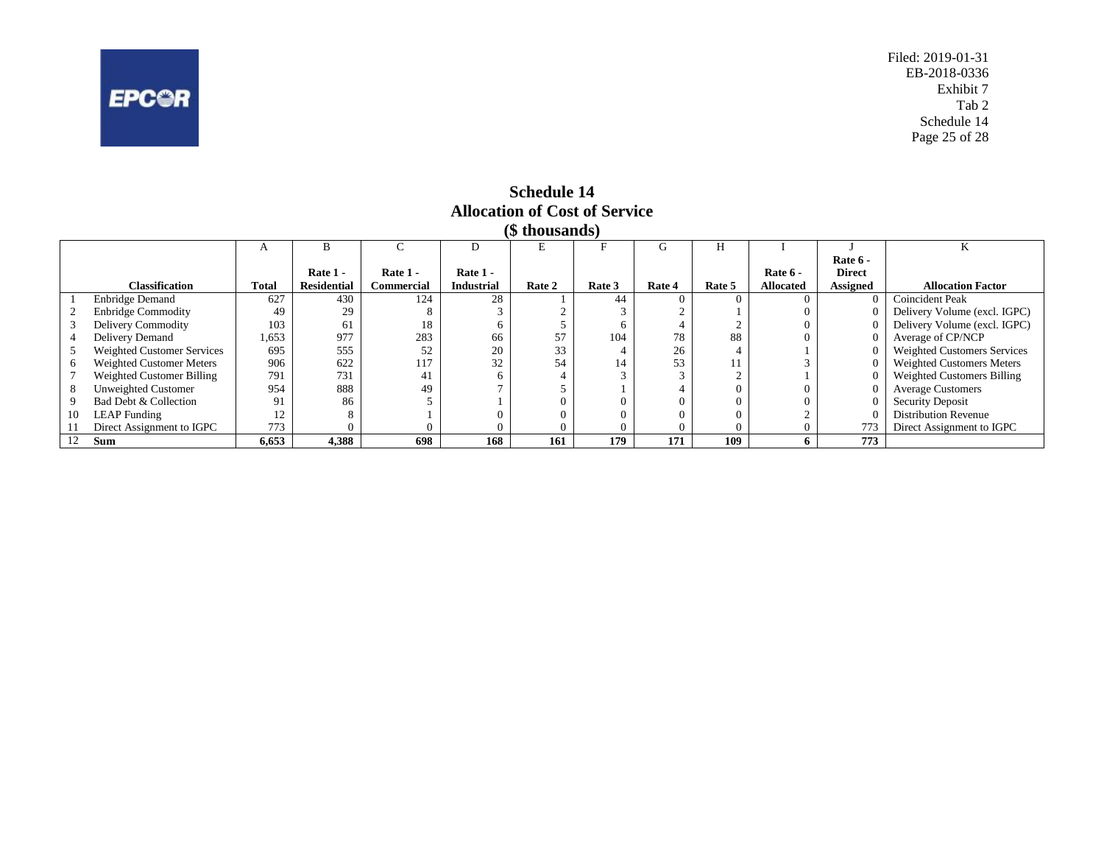<span id="page-25-0"></span>

Filed: 2019-01-31 EB-2018-0336 Exhibit 7 Tab 2 Schedule 14 Page 25 of 28

|    | (\$ thousands)                  |       |                    |                   |                   |          |          |            |        |                  |                 |                                    |  |
|----|---------------------------------|-------|--------------------|-------------------|-------------------|----------|----------|------------|--------|------------------|-----------------|------------------------------------|--|
|    |                                 |       | в                  |                   | D                 |          |          |            | Н      |                  |                 |                                    |  |
|    |                                 |       |                    |                   |                   |          |          |            |        |                  | Rate 6 -        |                                    |  |
|    |                                 |       | Rate 1 -           | Rate $1 -$        | Rate 1 -          |          |          |            |        | Rate 6 -         | <b>Direct</b>   |                                    |  |
|    | <b>Classification</b>           | Total | <b>Residential</b> | <b>Commercial</b> | <b>Industrial</b> | Rate 2   | Rate 3   | Rate 4     | Rate 5 | <b>Allocated</b> | <b>Assigned</b> | <b>Allocation Factor</b>           |  |
|    | <b>Enbridge Demand</b>          | 627   | 430                | 124               | 28                |          | 44       | $^{\circ}$ |        |                  |                 | Coincident Peak                    |  |
|    | <b>Enbridge Commodity</b>       | 49    | 29                 |                   |                   |          |          |            |        |                  |                 | Delivery Volume (excl. IGPC)       |  |
|    | Delivery Commodity              | 103   | 61                 | 18                |                   |          | o        |            |        |                  |                 | Delivery Volume (excl. IGPC)       |  |
|    | Delivery Demand                 | 1,653 | 977                | 283               | 66                | 57       | 104      | 78         | 88     |                  |                 | Average of CP/NCP                  |  |
|    | Weighted Customer Services      | 695   | 555                | 52                | 20                | 33       |          | 26         |        |                  |                 | <b>Weighted Customers Services</b> |  |
|    | <b>Weighted Customer Meters</b> | 906   | 622                | 117               | 32                | 54       | 14       | 53         |        |                  |                 | <b>Weighted Customers Meters</b>   |  |
|    | Weighted Customer Billing       | 791   | 731                | 41                |                   |          |          |            |        |                  |                 | Weighted Customers Billing         |  |
|    | <b>Unweighted Customer</b>      | 954   | 888                | 49                |                   |          |          |            |        |                  |                 | <b>Average Customers</b>           |  |
|    | Bad Debt & Collection           | 91    | 86                 |                   |                   |          |          |            |        |                  |                 | <b>Security Deposit</b>            |  |
| 10 | <b>LEAP</b> Funding             | 1∠    |                    |                   |                   |          |          |            |        |                  |                 | <b>Distribution Revenue</b>        |  |
|    | Direct Assignment to IGPC       | 773   |                    |                   |                   | $\theta$ | $\Omega$ |            |        | $\Omega$         | 773             | Direct Assignment to IGPC          |  |
|    | <b>Sum</b>                      | 6,653 | 4,388              | 698               | 168               | 161      | 179      | 171        | 109    |                  | 773             |                                    |  |

# **Schedule 14 Allocation of Cost of Service**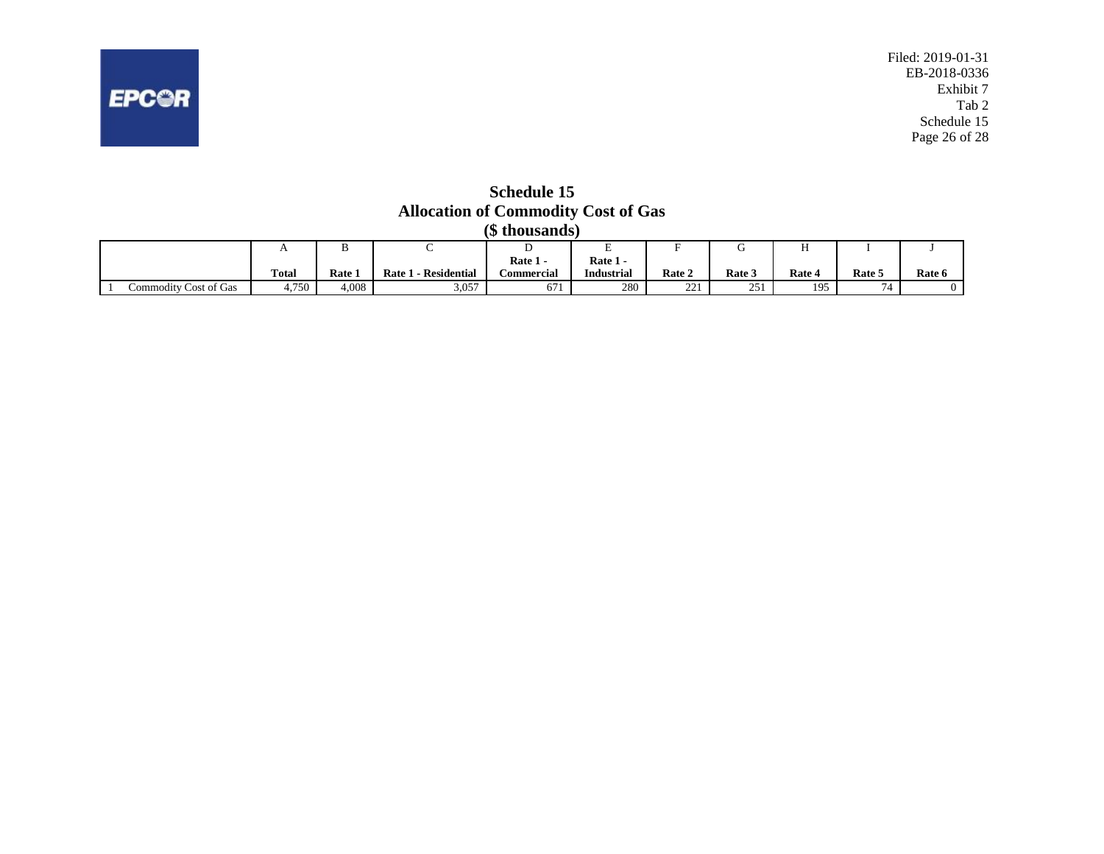

<span id="page-26-0"></span>

**Schedule 15 Allocation of Commodity Cost of Gas**

|                       | (\$ thousands) |             |                         |                   |                   |               |            |        |        |        |  |  |  |
|-----------------------|----------------|-------------|-------------------------|-------------------|-------------------|---------------|------------|--------|--------|--------|--|--|--|
|                       | 1 L            | $\sim$<br>໋ | ◡                       |                   | ∸                 |               |            |        |        |        |  |  |  |
|                       |                |             |                         | Rate 1 -          | Rate 1 -          |               |            |        |        |        |  |  |  |
|                       | <b>Total</b>   | Rate 1      | - Residential<br>Rate 1 | <b>Commercial</b> | <b>Industrial</b> | Rate 2        | Rate 3     | Rate 4 | Rate 5 | Rate 6 |  |  |  |
| Commodity Cost of Gas | 4,750          | 4,008       | 3,057                   | 671               | 280               | 221<br>ل کے ک | 251<br>، ب | 195    | 74     |        |  |  |  |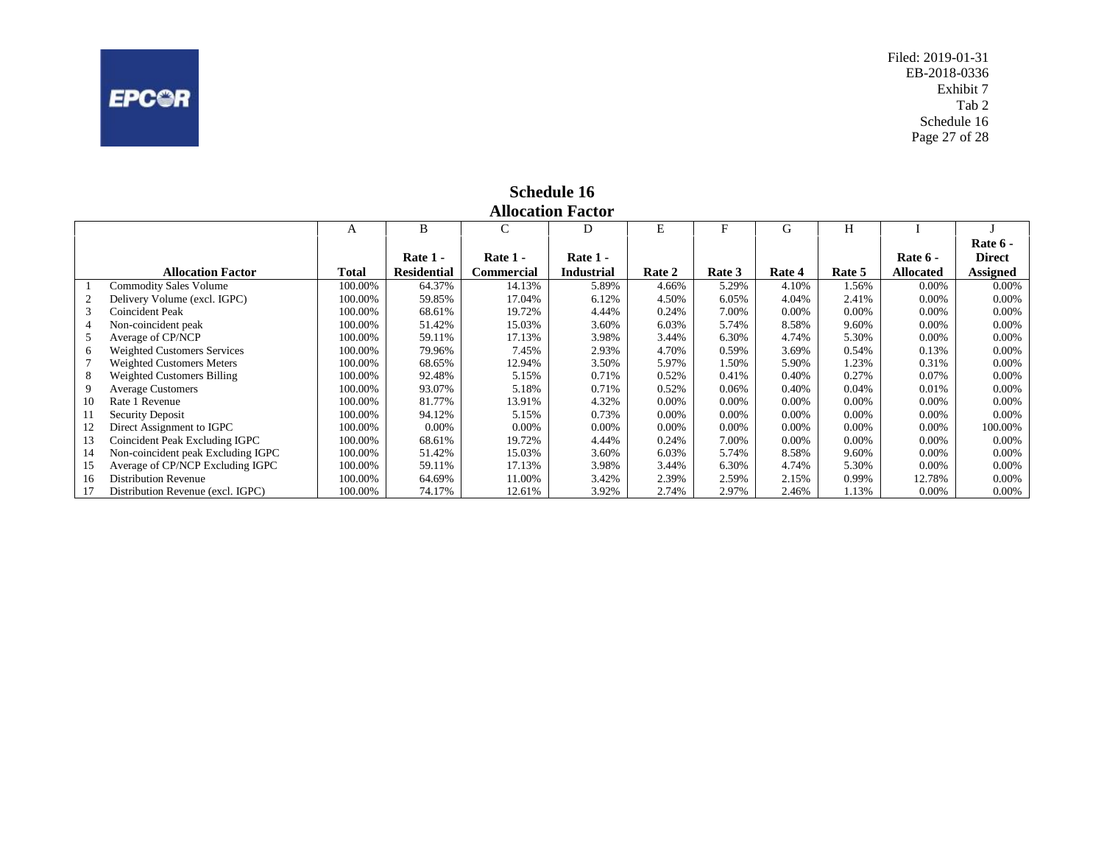<span id="page-27-0"></span>

Filed: 2019-01-31 EB-2018-0336 Exhibit 7 Tab 2 Schedule 16 Page 27 of 28

|    | <b>Allocation Factor</b>           |         |                    |            |                   |        |        |          |        |                  |                 |  |
|----|------------------------------------|---------|--------------------|------------|-------------------|--------|--------|----------|--------|------------------|-----------------|--|
|    |                                    | А       | B                  | C          | D                 | E      |        | G        | Н      |                  |                 |  |
|    |                                    |         |                    |            |                   |        |        |          |        |                  | Rate 6 -        |  |
|    |                                    |         | Rate 1 -           | Rate 1 -   | Rate 1 -          |        |        |          |        | Rate 6 -         | <b>Direct</b>   |  |
|    | <b>Allocation Factor</b>           | Total   | <b>Residential</b> | Commercial | <b>Industrial</b> | Rate 2 | Rate 3 | Rate 4   | Rate 5 | <b>Allocated</b> | <b>Assigned</b> |  |
|    | <b>Commodity Sales Volume</b>      | 100.00% | 64.37%             | 14.13%     | 5.89%             | 4.66%  | 5.29%  | 4.10%    | .56%   | 0.00%            | 0.00%           |  |
| 2  | Delivery Volume (excl. IGPC)       | 100.00% | 59.85%             | 17.04%     | 6.12%             | 4.50%  | 6.05%  | 4.04%    | 2.41%  | 0.00%            | $0.00\%$        |  |
|    | Coincident Peak                    | 100.00% | 68.61%             | 19.72%     | 4.44%             | 0.24%  | 7.00%  | 0.00%    | 0.00%  | 0.00%            | 0.00%           |  |
|    | Non-coincident peak                | 100.00% | 51.42%             | 15.03%     | 3.60%             | 6.03%  | 5.74%  | 8.58%    | 9.60%  | 0.00%            | 0.00%           |  |
|    | Average of CP/NCP                  | 100.00% | 59.11%             | 17.13%     | 3.98%             | 3.44%  | 6.30%  | 4.74%    | 5.30%  | 0.00%            | 0.00%           |  |
|    | <b>Weighted Customers Services</b> | 100.00% | 79.96%             | 7.45%      | 2.93%             | 4.70%  | 0.59%  | 3.69%    | 0.54%  | 0.13%            | 0.00%           |  |
|    | Weighted Customers Meters          | 100.00% | 68.65%             | 12.94%     | 3.50%             | 5.97%  | 1.50%  | 5.90%    | .23%   | 0.31%            | 0.00%           |  |
|    | Weighted Customers Billing         | 100.00% | 92.48%             | 5.15%      | 0.71%             | 0.52%  | 0.41%  | 0.40%    | 0.27%  | 0.07%            | 0.00%           |  |
|    | <b>Average Customers</b>           | 100.00% | 93.07%             | 5.18%      | 0.71%             | 0.52%  | 0.06%  | 0.40%    | 0.04%  | 0.01%            | 0.00%           |  |
| 10 | Rate 1 Revenue                     | 100.00% | 81.77%             | 13.91%     | 4.32%             | 0.00%  | 0.00%  | $0.00\%$ | 0.00%  | 0.00%            | 0.00%           |  |
| 11 | Security Deposit                   | 100.00% | 94.12%             | 5.15%      | 0.73%             | 0.00%  | 0.00%  | 0.00%    | 0.00%  | 0.00%            | 0.00%           |  |
| 12 | Direct Assignment to IGPC          | 100.00% | $0.00\%$           | 0.00%      | 0.00%             | 0.00%  | 0.00%  | 0.00%    | 0.00%  | 0.00%            | 100.00%         |  |
| 13 | Coincident Peak Excluding IGPC     | 100.00% | 68.61%             | 19.72%     | 4.44%             | 0.24%  | 7.00%  | 0.00%    | 0.00%  | 0.00%            | 0.00%           |  |
| 14 | Non-coincident peak Excluding IGPC | 100.00% | 51.42%             | 15.03%     | 3.60%             | 6.03%  | 5.74%  | 8.58%    | 9.60%  | 0.00%            | 0.00%           |  |
| 15 | Average of CP/NCP Excluding IGPC   | 100.00% | 59.11%             | 17.13%     | 3.98%             | 3.44%  | 6.30%  | 4.74%    | 5.30%  | 0.00%            | $0.00\%$        |  |
| 16 | <b>Distribution Revenue</b>        | 100.00% | 64.69%             | 11.00%     | 3.42%             | 2.39%  | 2.59%  | 2.15%    | 0.99%  | 12.78%           | 0.00%           |  |
|    | Distribution Revenue (excl. IGPC)  | 100.00% | 74.17%             | 12.61%     | 3.92%             | 2.74%  | 2.97%  | 2.46%    | 1.13%  | 0.00%            | 0.00%           |  |

# **Schedule 16**